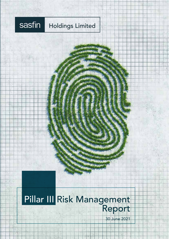### sasfin **Holdings Limited**

# Pillar III Risk Management Report

30 June 2021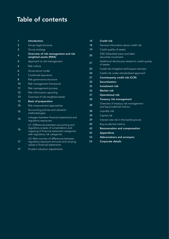# Table of contents

| 1  | Introduction                                                                                                                                                      |
|----|-------------------------------------------------------------------------------------------------------------------------------------------------------------------|
| 2  | Group legal structure                                                                                                                                             |
| 3  | Group strategy                                                                                                                                                    |
| 4  | Overview of risk management and risk<br>weighted assets (RWA)                                                                                                     |
| 4  | Approach to risk management                                                                                                                                       |
| 6  | Risk culture                                                                                                                                                      |
| 6  | Governance model                                                                                                                                                  |
| 7  | Combined assurance                                                                                                                                                |
| 8  | Risk governance structure                                                                                                                                         |
| 10 | Risk management framework                                                                                                                                         |
| 11 | Risk management process                                                                                                                                           |
| 12 | Risk information reporting                                                                                                                                        |
| 13 | Overview of risk weighted assets                                                                                                                                  |
| 15 | <b>Basis of preparation</b>                                                                                                                                       |
| 15 | Risk measurement approaches                                                                                                                                       |
| 15 | Accounting policies and valuation<br>methodologies                                                                                                                |
| 15 | Linkages between financial statements and<br>regulatory exposures                                                                                                 |
| 16 | LI1: Differences between accounting and<br>regulatory scopes of consolidation and<br>mapping of financial statement categories<br>with regulatory risk categories |
| 17 | LI2: Main sources of differences between<br>regulatory exposure amounts and carrying<br>values in financial statements                                            |

17 Prudent valuation adjustments

| 18              | <b>Credit risk</b>                                                 |
|-----------------|--------------------------------------------------------------------|
| 18              | General information about credit risk                              |
| 19              | Credit quality of assets                                           |
| 20              | CR2: Defaulted loans and debt<br>securities movement               |
| 21              | Additional disclosures related to credit quality<br>of assets      |
| 22              | Credit risk mitigation techniques overview                         |
| 24              | Credit risk under standardised approach                            |
| 27              | Counterparty credit risk (CCR)                                     |
| $\overline{30}$ | Securitisation                                                     |
| 35              | Investment risk                                                    |
| 36              | Market risk                                                        |
| 37              | <b>Operational risk</b>                                            |
| 38              | Treasury risk management                                           |
| 38              | Overview of treasury risk management<br>and key prudential metrics |
| 38              | Liquidity risk                                                     |
| 39              | Capital risk                                                       |
| 39              | Interest rate risk in the banking book                             |
| 40              | Key prudential metrics                                             |
| 42              | <b>Remuneration and compensation</b>                               |
| 45              | <b>Appendices</b>                                                  |
| 53              | Abbreviations and acronyms                                         |
| 54              | Corporate details                                                  |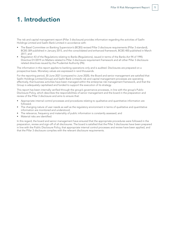### 1. Introduction

The risk and capital management report (Pillar 3 disclosure) provides information regarding the activities of Sasfin Holdings Limited and Sasfin Bank Limited in accordance with:

- The Basel Committee on Banking Supervision's (BCBS) revised Pillar 3 disclosure requirements (Pillar 3 standard), BCBS 309 published in January 2015, and the consolidated and enhanced framework, BCBS 400 published in March 2017; and
- Regulation 43 of the Regulations relating to Banks (Regulations), issued in terms of the Banks Act 94 of 1990, Directive D1/2019 on Matters related to Pillar 3 disclosure requirement framework and all other Pillar 3 disclosurerelated directives issued by the Prudential Authority (PA).

The information in this report applies to banking operations only and is audited. Disclosures are prepared on a prospective basis. Monetary values are expressed in rand thousands.

For the reporting period, 30 June 2021 (compared to June 2020), the Board and senior management are satisfied that Sasfin Holdings Limited (Group) and Sasfin Bank Limited's risk and capital management processes are operating effectively, that business activities have been managed within the enterprise risk management framework, and that the Group is adequately capitalised and funded to support the execution of its strategy.

This report has been internally verified through the group's governance processes, in line with the group's Public Disclosure Policy, which describes the responsibilities of senior management and the board in the preparation and review of the Pillar 3 disclosure and aims to ensure that:

- Appropriate internal control processes and procedures relating to qualitative and quantitative information are followed;
- The changing nature of user needs as well as the regulatory environment in terms of qualitative and quantitative information are monitored and understood;
- The relevance, frequency and materiality of public information is constantly assessed; and
- Material risks are identified.

In this regard, the board and senior management have ensured that the appropriate procedures were followed in the preparation, review and sign-off of all disclosures. The board is satisfied that the Pillar 3 disclosures have been prepared in line with the Public Disclosure Policy, that appropriate internal control processes and review have been applied, and that the Pillar 3 disclosure complies with the relevant disclosure requirements.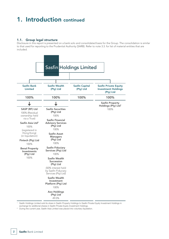## 1. Introduction continued

### 1.1. Group legal structure

Disclosure in this report is presented on a bank solo and consolidated basis for the Group. The consolidation is similar to that used for reporting to the Prudential Authority (SARB). Refer to note 3.3. for list of material entities that are included.



1 Sasfin Holdings Limited sold its share in Sasfin Property Holdings to Sasfin Private Equity Investment Holdings in

exchange for additional shares in Sasfin Private Equity Investment Holdings.

2 During the current year, Sasfin Asia Limited was placed into voluntary liquidation.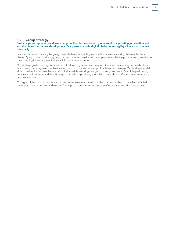### 1.2 Group strategy

### Sasfin helps entrepreneurs and investors grow their businesses and global wealth, supporting job creation and sustainable socioeconomic development. Our personal touch, digital platforms and agility allow us to compete effectively.

Sasfin contributes to society by going beyond a bank to enable growth in the businesses and global wealth of our clients. By supporting business growth, our products and services drive employment, alleviate poverty, and grow the tax base. Helping investors grow their wealth improves savings rates.

Our strategy guides our day-to-day actions to drive long-term value creation. It focuses on meeting the needs of our five primary client segments, while ensuring that our business remains profitable and sustainable. Our business model aims to deliver innovative client-centric solutions while ensuring strong corporate governance. Our high- performing human capital, strong brand, broad range of digitalised products, and solid balance sheet differentiate us from peers and new entrants.

Our agile, high-touch model means that we deliver solutions based on a deep understanding of our clients that help them grow their businesses and wealth. This approach enables us to compete effectively against the large players.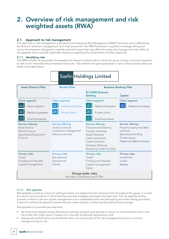### 2. Overview of risk management and risk weighted assets (RWA)

### 2.1. Approach to risk management

The approach to risk management is guided by the Enterprise Risk Management (ERM) Framework and is effected by the Board of directors, management, and other personnel. The ERM Framework is applied in strategy setting and across the enterprise, designed to identify potential events that may affect the entity, and manage risk to be within its risk appetite and to provide reasonable assurance regarding the achievement of entity objectives.

### 2.1.1. Identifying risks

The ERM includes all reasonably foreseeable and relevant material risks to which the group is likely to become exposed as well as the interrelationships between these risks. The material risk types applicable in each of the business pillars are listed in the table below:

|                                                                                                |                                                                                    | <b>Sasfin Holdings Limited</b>                                                                                                                                                                      |                                                 |  |  |
|------------------------------------------------------------------------------------------------|------------------------------------------------------------------------------------|-----------------------------------------------------------------------------------------------------------------------------------------------------------------------------------------------------|-------------------------------------------------|--|--|
| <b>Asset Finance Pillar</b>                                                                    | <b>Wealth Pillar</b>                                                               | <b>Business Banking Pillar</b>                                                                                                                                                                      |                                                 |  |  |
|                                                                                                |                                                                                    | <b>B\\YOND Business</b><br><b>Banking</b>                                                                                                                                                           | <b>Capital</b>                                  |  |  |
| Client segment                                                                                 | <b>Client segment</b>                                                              | <b>Client segment</b>                                                                                                                                                                               | Client segment                                  |  |  |
| Asset suppliers                                                                                | Institutional clients                                                              | 仙<br>Medium businesses                                                                                                                                                                              | 仙<br>Medium businesses                          |  |  |
| Medium businesses                                                                              | <u>୍ବିଜ୍</u><br>Private clients                                                    | Private clients                                                                                                                                                                                     |                                                 |  |  |
| Small businesses                                                                               |                                                                                    | Small businesses                                                                                                                                                                                    |                                                 |  |  |
| Service offering<br>Asset finance<br>Rental Finance<br><b>Specialised Equipment</b><br>Finance | Service offering<br>Global and local<br>investment management<br>Advisory services | Service offering<br>Transactional banking<br>Foreign exchange<br>Digital Banking<br>Cash Investments<br><b>Credit Solutions</b><br><b>Strategic Alliances</b><br><b>Revolving Credit Facilities</b> |                                                 |  |  |
| <b>Primary risks</b><br>Credit<br>Funding and liquidity<br>Capital management                  | <b>Primary risks</b><br>Reputational<br>Operational<br>Market                      | <b>Primary risks</b><br>Credit<br>Funding and liquidity<br>Capital management<br>Cyber                                                                                                              | Primary risks<br>Investment<br>Credit<br>Market |  |  |
| <b>Group-wide risks</b><br>Business, Compliance and IT Risk                                    |                                                                                    |                                                                                                                                                                                                     |                                                 |  |  |

### 2.1.2. Risk appetite

Risk appetite is used as a basis for setting business unit targets and risk tolerance limits throughout the group. It is used as a tool to set boundaries in which business execute strategies and assess and take risks. The risk appetite setting process is linked to risk and capital management and is embedded within the forecasting and stress testing processes. Criteria for setting risk appetite include relevant market analysis, market liquidity and business strategy.

Risk appetite incorporates two elements:

- Set limits to be applied across all business activities, product, and services to ensure no concentrations exist in the risk profile that might result in losses not in line with the Board's expectations; and
- Appropriate performance and thresholds which are used as part of the risk management process to monitor, manage and report risk.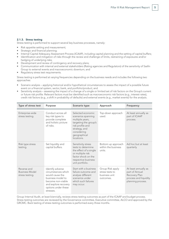### 2.1.3. Stress testing

Stress testing is performed to support several key business processes, namely:

- Risk appetite setting and measurement;
- Strategic and financial planning;
- Internal Capital Adequacy Assessment Process (ICAAP), including capital planning and the setting of capital buffers;
- Identification and mitigation of risks through the review and challenge of limits, restraining of exposures and/or hedging of underlying risks;
- Development and review of contingency and recovery plans;
- Communication with internal and external stakeholders (Rating agencies and Regulators) of the sensitivity of Sasfin Group to external events and macroeconomic downturn; and
- Regulatory stress test requirements.

Stress testing is performed at varying frequencies depending on the business needs and includes the following two approaches:

- Scenario analysis applying historical and/or hypothetical circumstances to assess the impact of a possible future event on a financial system, sector, bank, and portfolio/product; and
- Sensitivity analysis assessing the impact of a change of a single or limited set of risk factors on the Group's current or future risk profile. Relevant factors must be identified such as macroeconomic risk factors (e.g., interest rates), credit risk factors (e.g., a shift in probability of defaults) and external events (e.g., market events) for the analysis.

| Type of stress test                                     | Purpose                                                                                                                                                          | Scenario type                                                                                                                                                         | Approach                                                          | Frequency                                                                                             |
|---------------------------------------------------------|------------------------------------------------------------------------------------------------------------------------------------------------------------------|-----------------------------------------------------------------------------------------------------------------------------------------------------------------------|-------------------------------------------------------------------|-------------------------------------------------------------------------------------------------------|
| Enterprise-wide<br>stress testing.                      | Conduct across all<br>key risk types to<br>provide complete<br>and holistic picture<br>of risks.                                                                 | Selected economic<br>scenarios spanning<br>multiple years,<br>targeting the group's<br>risk profile and<br>strategy, and<br>considering<br>geographical<br>locations. | Top-down approach<br>used.                                        | At least annually as<br>part of ICAAP<br>process.                                                     |
| Risk type stress<br>testing.                            | Set liquidity and<br>capital buffers.                                                                                                                            | Sensitivity stress<br>tests to determine<br>the effect of a single<br>or multiple risk<br>factor shock on the<br>respective business<br>unit portfolio.               | Bottom up approach<br>within the business<br>units.               | Ad hoc but at least<br>quarterly.                                                                     |
| Reverse and<br><b>Business Model</b><br>stress testing. | Identify adverse<br>circumstances which<br>would cause the<br>business model to<br>become non-viable<br>and explore recovery<br>options under these<br>stresses. | Start with a business<br>failure outcome and<br>analyse different<br>scenarios under<br>which such failures<br>may occur.                                             | Group Risk apply<br>stress tests to<br>business unit<br>outcomes. | At least annually as<br>part of Annual<br>Recovery Plan<br>process and liquidity<br>planning process. |

Group Internal Audit, at least biennially, reviews stress testing outcomes as part of the ICAAP and budget process. Stress testing outcomes are reviewed by the Governance committee, Executive committee, ALCO and approved by the GRCMC. Back testing of stress testing outcomes is performed every three months.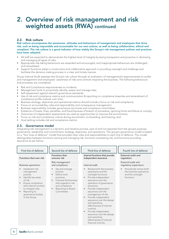### 2. Overview of risk management and risk weighted assets (RWA) continued

### 2.2. Risk culture

Risk culture encompasses the awareness, attitudes and behaviours of management and employees that drive risk, such as being responsible and accountable for our own actions, as well as being collaborative, ethical and compliant. The risk culture is a good indicator of how widely the Group's risk management policies and practices have been adopted.

- All staff are expected to demonstrate the highest level of integrity by being transparent and proactive in disclosing and managing all types of risks.
- Appropriate risk-taking behaviours are rewarded and encouraged, and inappropriate behaviours are challenged and remediated.
- Support functions adopt a constructive and collaborative approach in providing oversight and challenge and facilitate the decision-making process in a clear and timely manner.

Group Internal Audit assesses the Group's risk culture through an evaluation of management's responsiveness to audits and management and employees' awareness of risks and controls impacting the business. The following behaviours and processes are considered:

- Risk and Compliance responsiveness to incidents;
- Management tools to proactively identify, assess and manage risks;
- Self-assessment against relevant governance standards;
- Use of risk and compliance metrics and communication & reporting on compliance breaches and amendment of compliance profile outlook over time;
- Business strategy, objectives and operational metrics should include a focus on risk and compliance;
- Focus on accountability, roles and responsibility and consequence management;
- Business responsibility includes governance structures and compliance committees;
- Existence of losses, fines, penalties, and fraud because of breach of procedure, ignoring limits and failure to comply;
- Outcomes of independent assessments are used as opportunities to improve the environment;
- Focus on risk and compliance culture during recruitment, on-boarding, and training; and
- Goal setting includes risk and compliance metrics.

### 2.3. Governance model

Integrating risk management is a dynamic and iterative process, part of and not separate from the group's purpose, governance, leadership and commitment, strategy, objectives, and operations. The group's governance model is based on a "four lines of defence" model that provides clear roles and responsibilities to each line of defence. This model distinguishes between functions owning and managing risk, functions overseeing risk, and functions providing assurance as per below:

| First line of defence<br>Functions that own risk                                                                                                                                                       | Second line of defence<br><b>Functions that</b><br>oversee risk                                                                                                                                                      | Third line of defence<br>Fourth line of defence<br><b>External audit and</b><br>Internal functions that provide<br>independent assurance<br>regulators                                                                                                                                                                                                                                                                                                                                                                                                                                                     |
|--------------------------------------------------------------------------------------------------------------------------------------------------------------------------------------------------------|----------------------------------------------------------------------------------------------------------------------------------------------------------------------------------------------------------------------|------------------------------------------------------------------------------------------------------------------------------------------------------------------------------------------------------------------------------------------------------------------------------------------------------------------------------------------------------------------------------------------------------------------------------------------------------------------------------------------------------------------------------------------------------------------------------------------------------------|
| <b>Business operations</b>                                                                                                                                                                             | Risk management<br>and compliance                                                                                                                                                                                    | External audit and<br>Internal audit<br>regulatory supervisors                                                                                                                                                                                                                                                                                                                                                                                                                                                                                                                                             |
| Implement risk<br>management<br>policies.<br>Identify key areas<br>of risk.<br>Ensure compliance<br>with internal controls<br>to mitigate risks.<br>Reporting to<br>governance bodies<br>in the Group. | Set and manage<br>$\bullet$<br>policies.<br>Define work<br>$\bullet$<br>practices.<br>Oversee the business<br>$\bullet$<br>with regards to risk<br>and compliance.<br>Reporting to Board<br>$\bullet$<br>Committees. | Review both the business<br>Periodically review both<br>$\bullet$<br>the business operations<br>operations and the<br>oversight functions.<br>and the oversight<br>functions.<br>Provide independent<br>$\bullet$<br>assurance over the<br>operation of governance<br>structures.<br>Provide independent<br>$\bullet$<br>assurance over the<br>management of risk.<br>Provide independent<br>assurance over the design<br>and operating<br>effectiveness of internal<br>controls.<br>Provide independent<br>assurance over the design<br>and operating<br>effectiveness of internal<br>financial controls. |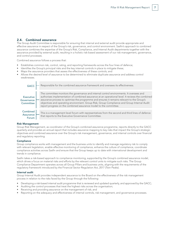### 2.4. Combined assurance

The Group Audit Committee is responsible for ensuring that internal and external audit provide appropriate and effective assurance in respect of the Group's risk, governance, and control environment. Sasfin's approach to combined assurance combines the expertise of the Group's Risk, Compliance, and Internal Audit departments together with the assurance provided by external audit, resulting in a holistic risk-based assessment of our risk management, governance, and control processes.

Combined assurance follows a process that:

- Establishes common risk, control, rating, and reporting frameworks across the four lines of defence;
- Identifies the Group's principal risks and the key internal controls in place to mitigate these;
- Maps the assurance providers that assess the effectiveness of these controls; and
- Allows the desired level of assurance to be determined to eliminate duplicate assurance and address control weaknesses.



### Risk Management

Group Risk Management, as coordinator of the Group's combined assurance programme, reports directly to the GACC quarterly and provides an annual report that includes assurance mapping to key risks that impact the Group's strategic objectives and combined assurance over the Group's risk management, governance, and internal controls over financial and regulatory reporting.

### **Compliance**

Group compliance works with management and the business units to identify and manage regulatory risk to comply with relevant legislation, enable effective monitoring of compliance, enhance the culture of compliance, coordinate compliance activities across Sasfin and ensure that the Group keeps up to date with international development and trends in compliance.

Sasfin takes a risk-based approach to compliance monitoring, supported by the Group's combined assurance model, which drives a focus on material risks and efforts by the relevant control units to mitigate such risks. The Group Compliance Department operates across all Group Pillars and business units, aligning with the requirements of the regulatory framework introduced by the Financial Sector Regulation Act, 2017 (Twin Peaks).

### Internal audit

Group Internal Audit provides independent assurance to the Board on the effectiveness of the risk management process in relation to the risks faced by the Group through the following:

- Developing a risk-based internal audit programme that is reviewed and updated quarterly, and approved by the GACC;
- Auditing the control processes that treat the highest risks across the organisation;
- Receiving and providing assurance on the management of risk; and
- Reporting on the adequacy and effectiveness of internal controls, risk management, and governance processes.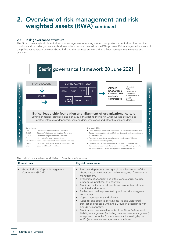### 2. Overview of risk management and risk weighted assets (RWA) continued

### 2.5. Risk governance structure

The Group uses a hybrid, decentralised risk management operating model. Group Risk is a centralised function that monitors and provides guidance to business units to ensure they follow the ERM process. Risk managers within each of the pillars act as liaison between Group Risk and the business area regarding all risk management initiatives and activities.



The main risk-related responsibilities of Board committees are:

| <b>Committees</b> |                                                        | Key risk focus areas                                                                                                                                                                                                                                                                                                                                                                                                                                                                                                                                                                                                                                                                                                                                                                                                                               |
|-------------------|--------------------------------------------------------|----------------------------------------------------------------------------------------------------------------------------------------------------------------------------------------------------------------------------------------------------------------------------------------------------------------------------------------------------------------------------------------------------------------------------------------------------------------------------------------------------------------------------------------------------------------------------------------------------------------------------------------------------------------------------------------------------------------------------------------------------------------------------------------------------------------------------------------------------|
|                   | Group Risk and Capital Management<br>Committee (GRCMC) | Provide independent oversight of the effectiveness of the<br>$\bullet$<br>Group's assurance functions and services, with focus on risk<br>management.<br>Evaluation of adequacy and effectiveness of risk policies,<br>procedures, practices, and controls.<br>Monitors the Group's risk profile and ensure key risks are<br>identified and reported.<br>Review information presented by various risk management<br>committees.<br>Capital management and planning.<br>Consider and approve certain secured and unsecured<br>transaction proposals within the Group, in accordance with<br>Board's risk appetite.<br>Monitor and oversee all aspects of the Group's Asset and<br>Liability management (including balance sheet management),<br>as reported on to the Committee at each meeting by the<br>ALCo (an executive management committee). |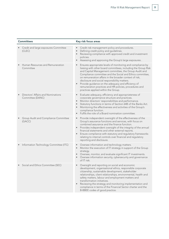| <b>Committees</b>                                      | Key risk focus areas                                                                                                                                                                                                                                                                                                                                                                                                                                                                                                  |
|--------------------------------------------------------|-----------------------------------------------------------------------------------------------------------------------------------------------------------------------------------------------------------------------------------------------------------------------------------------------------------------------------------------------------------------------------------------------------------------------------------------------------------------------------------------------------------------------|
| Credit and large exposures Committee<br>(CLEC)         | Credit risk management policy and procedures.<br>$\bullet$<br>Defining credit policy and guidelines.<br>Reviewing compliance with approved credit and investment<br>$\bullet$<br>policies.<br>Assessing and approving the Group's large exposures.                                                                                                                                                                                                                                                                    |
| Human Resources and Remuneration<br>Committee          | Ensures appropriate levels of monitoring and compliance by<br>liaising with other board committees, including the Group Risk<br>and Capital Management committee, the Group Audit and<br>Compliance committee and the Social and Ethics committee,<br>on remuneration affairs in the broader context of risk,<br>disclosure and social responsibility matters.<br>Provide guidance on the adequacy and efficiency of<br>remuneration practices and HR policies, procedures and<br>practices applied within the Group. |
| Directors' Affairs and Nominations<br>Committee (DANC) | Evaluate adequacy, efficiency and appropriateness of<br>corporate governance structure and practices.<br>Monitor directors' responsibilities and performance.<br>Statutory functions in terms of Section 64B of the Banks Act.<br>Monitoring the effectiveness and activities of the Group's<br>$\bullet$<br>compliance function.<br>Fulfils the role of a Board nomination committee.                                                                                                                                |
| Group Audit and Compliance Committee<br>(GACC)         | Provide independent oversight of the effectiveness of the<br>٠<br>Group's assurance functions and services, with focus on<br>combined assurance and the finance function.<br>Provides independent oversight of the integrity of the annual<br>financial statements and other external reports.<br>Ensure compliance with statutory and regulatory frameworks<br>$\bullet$<br>relating to internal controls over financial and regulatory<br>reporting and disclosure.                                                 |
| Information Technology Committee (ITC)                 | Oversee information and technology matters.<br>Monitor the execution of IT strategy in support of the Group<br>$\bullet$<br>strategy.<br>Oversee, monitor, and evaluate significant IT investments.<br>Oversee information security, cybersecurity and governance<br>of IT risk.                                                                                                                                                                                                                                      |
| Social and Ethics Committee (SEC)                      | Oversight and reporting on social and economic<br>development, organisational ethics, responsible corporate<br>citizenship, sustainable development, stakeholder<br>relationships, client relationships, environmental, health and<br>safety matters, labour and employment matters and<br>transformation initiatives.<br>Reviewing the strategy and monitoring implementation and<br>compliance in terms of the Financial Sector charter and the<br>B-BBEE codes of good practice.                                   |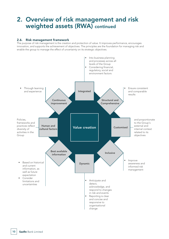### 2. Overview of risk management and risk weighted assets (RWA) continued

### 2.6. Risk management framework

The purpose of risk management is the creation and protection of value. It improves performance, encourages innovation, and supports the achievement of objectives. The principles are the foundation for managing risk and enable the group to manage the effect of uncertainty on its strategic objectives.

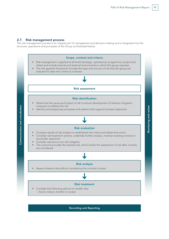### 2.7. Risk management process

The risk management process is an integral part of management and decision-making and is integrated into the structure, operations and processes of the Group as illustrated below:



Recording and Reporting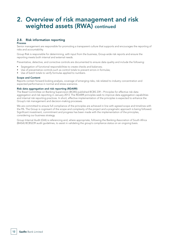### 2. Overview of risk management and risk weighted assets (RWA) continued

### 2.8. Risk information reporting

### **Process**

Senior management are responsible for promoting a transparent culture that supports and encourages the reporting of risks and accountability.

Group Risk is responsible for determining, with input from the business, Group-wide risk reports and ensure the reporting meets both internal and external needs.

Preventative, detective, and corrective controls are documented to ensure data quality and include the following:

- Segregation of functional responsibilities to create checks and balances;
- Use of preventative controls such as control totals to prevent errors in formulas;
- Use of batch totals to verify formulas applied to numbers.

### Scope and Content

Reports contain forward-looking analysis, coverage of emerging risks, risk related to industry concentration and expected performance in normal and stress scenarios.

### Risk data aggregation and risk reporting (RDARR)

The Basel Committee on Banking Supervision (BCBS) published BCBS 239 – Principles for effective risk data aggregation and risk reporting in January 2013. The RDARR principles seek to improve data aggregation capabilities and internal risk reporting practices. In short, effective implementation of the principles is expected to enhance the Group's risk management and decision-making processes.

We are committed to ensure full compliance of the principles are achieved in line with agreed scope and timelines with the PA. The Group is cognisant of the scope and complexity of the project and a pragmatic approach is being followed. Significant investment, commitment and progress has been made with the implementation of the principles, considering our business strategy.

Group Internal Audit (GIA) is referencing and, where appropriate, following the Banking Association of South Africa (BASA) BCBS239 audit guidelines, to assist in validating the group's compliance status on an ongoing basis.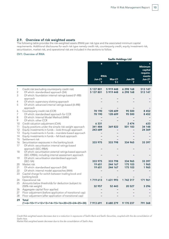### 2.9. Overview of risk weighted assets

The following table provides the risk-weighted assets (RWA) per risk type and the associated minimum capital requirements. Additional disclosures for each risk type namely credit risk, counterparty credit, equity investment risk, securitisation, market risk, and operational risk are included in the sections to follow.

### OV1: Overview of RWA

|                |                                                                                   |                                  | <b>Sasfin Holdings Ltd</b>   |                  |                                                                 |
|----------------|-----------------------------------------------------------------------------------|----------------------------------|------------------------------|------------------|-----------------------------------------------------------------|
|                |                                                                                   | a<br><b>RWA</b><br><b>Jun-21</b> | $\mathbf b$<br><b>Mar-21</b> | <b>Jun-20</b>    | <b>Minimum</b><br>capital<br>require-<br>ments<br><b>Jun-21</b> |
|                |                                                                                   | т                                | T-1                          | т                | т                                                               |
| 1              | Credit risk (excluding counterparty credit risk)                                  | 5 137 801                        | 5 919 448                    | 6 298 168        | 513 147                                                         |
| $\overline{2}$ | Of which: standardised approach (SA)                                              | 5 137 801                        | 5 919 448                    | 6 298 168        | 513 147                                                         |
| 3              | Of which: foundation internal ratings-based (F-IRB)                               |                                  |                              |                  |                                                                 |
|                | approach                                                                          |                                  |                              |                  |                                                                 |
| 4              | Of which: supervisory slotting approach                                           |                                  |                              |                  |                                                                 |
| 5              | Of which: advanced internal ratings-based (A-IRB)                                 |                                  |                              |                  |                                                                 |
|                | approach                                                                          |                                  |                              |                  |                                                                 |
| 6<br>7         | Counterparty credit risk (CCR)<br>Of which: standardised approach for CCR         | 78 190<br>78 190                 | 128 609<br>128 609           | 95 500<br>95 500 | 8 4 5 2<br>8 4 5 2                                              |
| 8              | Of which: Internal Model Method (IMM)                                             |                                  |                              |                  |                                                                 |
| 9              | Of which: other CCR                                                               |                                  |                              |                  |                                                                 |
| 10             | Credit valuation adjustment (CVA)                                                 | 6 3 3 1                          |                              | 2 4 7 4          | 633                                                             |
| 11             | Equity positions under the simple risk weight approach                            | 341 484                          | 369822                       | 501 183          | 34 148                                                          |
| 12             | Equity investments in funds - look-through approach                               | 243 689                          |                              |                  | 24 369                                                          |
| 13             | Equity investments in funds - mandate-based approach                              |                                  |                              |                  |                                                                 |
| 14             | Equity investments in funds - fall-back approach                                  |                                  |                              |                  |                                                                 |
| 15             | Settlement risk                                                                   |                                  |                              |                  |                                                                 |
| 16             | Securitisation exposures in the banking book                                      | 333 975                          | 333 798                      | 334 965          | 33 397                                                          |
| 17             | Of which: securitisation internal ratings-based                                   |                                  |                              |                  |                                                                 |
|                | approach (SEC-IRBA)                                                               |                                  |                              |                  |                                                                 |
| 18             | Of which: securitisation external ratings-based approach                          |                                  |                              |                  |                                                                 |
|                | (SEC-ERBA), including internal assessment approach                                |                                  |                              |                  |                                                                 |
| 19             | Of which: securitisation standardised approach                                    |                                  |                              |                  |                                                                 |
|                | $(SEC-SA)$                                                                        | 333 975                          | 333 798                      | 334 965          | 33 397                                                          |
| 20             | Market risk                                                                       | 19 651                           | 244 167                      | 175 103          | 1965<br>1965                                                    |
| 21<br>22       | Of which: standardised approach (SA)<br>Of which: internal model approaches (IMA) | 19 651                           | 244 167                      | 175 103          |                                                                 |
| 23             | Capital charge for switch between trading book and                                |                                  |                              |                  |                                                                 |
|                | banking book                                                                      |                                  |                              |                  |                                                                 |
| 24             | Operational risk                                                                  | 1719613                          | 1631993                      | 1742317          | 171 961                                                         |
| 25             | Amounts below thresholds for deduction (subject to                                |                                  |                              |                  |                                                                 |
|                | 250% risk weight)                                                                 | 32 957                           | 52 443                       | 20 5 27          | 3 2 9 6                                                         |
| 26             | Aggregate capital floor applied                                                   |                                  |                              |                  |                                                                 |
| 27             | Floor adjustment (before application of transitional cap)                         |                                  |                              |                  |                                                                 |
| 28             | Floor adjustment (after application of transitional cap)                          |                                  |                              |                  |                                                                 |
| 29             | Total                                                                             |                                  |                              |                  |                                                                 |
|                | $(1+6+10+11+12+13+14+15+16+20+23+24+25+28)$                                       | 7913691                          | 8 680 279                    | 9 170 237        | 791 368                                                         |

Credit Risk weighted assets decrease due to a reduction in exposures of Sasfin Bank and Sasfin Securities, coupled with the de-consolidation of *Sasfin Asia.*

*Market Risk weighted assets decrease due to the de-consolidation of Sasfin Asia.*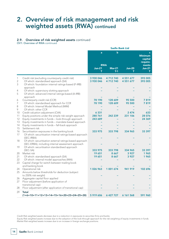### 2. Overview of risk management and risk weighted assets (RWA) continued

### 2.9. Overview of risk weighted assets continued

OV1: Overview of RWA continued

|                          |                                                                                                                                                                           | <b>Sasfin Bank Ltd</b>        |                                      |                               |                                       |  |
|--------------------------|---------------------------------------------------------------------------------------------------------------------------------------------------------------------------|-------------------------------|--------------------------------------|-------------------------------|---------------------------------------|--|
|                          |                                                                                                                                                                           | $\mathbf b$<br>a              |                                      |                               | <b>Minimum</b><br>capital<br>require- |  |
|                          |                                                                                                                                                                           | <b>Jun-21</b><br>т            | <b>RWA</b><br><b>Mar-21</b><br>$T-1$ | <b>Jun-20</b>                 | ments<br><b>Jun-21</b><br>т           |  |
| 1<br>$\overline{c}$<br>3 | Credit risk (excluding counterparty credit risk)<br>Of which: standardised approach (SA)<br>Of which: foundation internal ratings-based (F-IRB)                           | 3 930 046<br>3 930 046        | 4 712 740<br>4 712 740               | 4 551 677<br>4 5 5 1 6 7 7    | 393 005<br>393 005                    |  |
| 4<br>5                   | approach<br>Of which: supervisory slotting approach<br>Of which: advanced internal ratings-based (A-IRB)<br>approach                                                      |                               |                                      |                               |                                       |  |
| 6<br>7<br>8              | Counterparty credit risk (CCR)<br>Of which: standardised approach for CCR<br>Of which: Internal Model Method (IMM)                                                        | 78 190<br>78 190              | 128 609<br>128 609                   | 95 500<br>95 500              | 7819<br>7819                          |  |
| 9<br>10<br>11<br>12      | Of which: other CCR<br>Credit valuation adjustment (CVA)<br>Equity positions under the simple risk weight approach<br>Equity investments in funds - look-through approach | 6 3 3 1<br>280 761<br>243 689 | 242 239                              | 2 4 7 4<br>231 106            | 633<br>28 0 76<br>24 369              |  |
| 13<br>14<br>15           | Equity investments in funds - mandate-based approach<br>Equity investments in funds - fall-back approach<br>Settlement risk                                               |                               |                                      |                               |                                       |  |
| 16<br>17                 | Securitisation exposures in the banking book<br>Of which: securitisation internal ratings-based approach<br>(SEC-IRBA)                                                    | 333 975                       | 333 798                              | 334 965                       | 33 397                                |  |
| 18<br>19                 | Of which: securitisation external ratings-based approach<br>(SEC-ERBA), including internal assessment approach<br>Of which: securitisation standardised approach          |                               |                                      |                               |                                       |  |
| 20<br>21<br>22           | $(SEC-SA)$<br>Market risk<br>Of which: standardised approach (SA)<br>Of which: internal model approaches (IMA)                                                            | 333 975<br>19 651<br>19 651   | 333 798<br>8 6 6 7<br>8 6 6 7        | 334 965<br>3 9 2 7<br>3 9 2 7 | 33 397<br>1965<br>1965                |  |
| 23<br>24                 | Capital charge for switch between trading book<br>and banking book<br>Operational risk                                                                                    | 1 026 963                     | 1 001 674                            | 941 919                       | 102 696                               |  |
| 25                       | Amounts below thresholds for deduction (subject<br>to 250% risk weight)                                                                                                   |                               |                                      |                               |                                       |  |
| 26<br>27                 | Aggregate capital floor applied<br>Floor adjustment (before application of<br>transitional cap)                                                                           |                               |                                      |                               |                                       |  |
| 28<br>29                 | Floor adjustment (after application of transitional cap)<br><b>Total</b>                                                                                                  |                               |                                      |                               |                                       |  |
|                          | $(1+6+10+11+12+13+14+15+16+20+23+24+25+28)$                                                                                                                               | 5 919 606                     | 6 427 727                            | 6 161 568                     | 591 960                               |  |

*Credit Risk weighted assets decrease due to a reduction in exposures to securities firms and banks.*

*Equity Risk weighted assets increase due to the adoption of the look-through-approach for the risk weighting of equity investments in funds. Market Risk weighted assets increase due to an increase in foreign exchange positions.*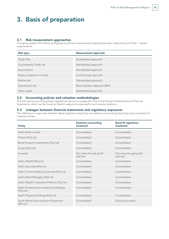# 3. Basis of preparation

### 3.1. Risk measurement approaches

The group applies the following Regulatory demand measurement approaches when determining its Pillar 1 capital requirements:

| <b>Risk type</b>           | Measurement approach           |
|----------------------------|--------------------------------|
| Credit Risk                | Standardised approach          |
| Counterparty Credit risk   | Standardised approach          |
| Securitisation             | Standardised approach          |
| Equity investment in funds | Look-through approach          |
| Market risk                | Standardised approach          |
| Operational risk           | Basic Indicator approach (BIA) |
| Other assets               | Standardised approach          |

### 3.2. Accounting policies and valuation methodologies

The principal accounting policies applied are set out on pages 24 to 43 of the Group's Audited Annual Financial Statements, which can be found on Sasfin's website at www.sasfin.com/investor-relations.

### 3.3. Linkages between financial statements and regulatory exposures

The difference in approach between Basel regulatory reporting and statutory accounting reporting is set out below for material entities:

| <b>Entity</b>                                          | <b>Statutory accounting</b><br>treatment | <b>Basel III regulatory</b><br>treatment |
|--------------------------------------------------------|------------------------------------------|------------------------------------------|
| Sasfin Bank Limited                                    | Consolidated                             | Consolidated                             |
| Fintech (Pty) Ltd                                      | Consolidated                             | Consolidated                             |
| Benal Property Investments (Pty) Ltd                   | Consolidated                             | Consolidated                             |
| Sunlyn (Pty) Ltd                                       | Consolidated                             | Consolidated                             |
| Innovent                                               | Fair value through profit<br>and loss    | Fair value through profit<br>and loss    |
| Sasfin Wealth (Pty) Ltd                                | Consolidated                             | Consolidated                             |
| Sasfin Securities (Pty) Ltd                            | Consolidated                             | Consolidated                             |
| Sasfin Financial Advisory Services (Pty) Ltd           | Consolidated                             | Consolidated                             |
| Sasfin Asset Managers (Pty) Ltd                        | Consolidated                             | Consolidated                             |
| Sasfin Wealth Investment Platform (Pty) Ltd            | Consolidated                             | Consolidated                             |
| Sasfin Private Equity Investment Holdings<br>(Pty) Ltd | Consolidated                             | Consolidated                             |
| Sasfin Property Holdings (Pty) Ltd                     | Consolidated                             | Consolidated                             |
| South African Securitisation Programme<br>(RF) Ltd     | Consolidated                             | Equity accounted                         |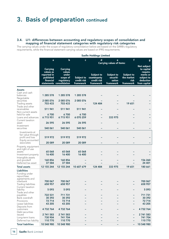### 3. Basis of preparation continued

### 3.4. LI1: differences between accounting and regulatory scopes of consolidation and mapping of financial statement categories with regulatory risk categories

The carrying values under the scope of regulatory consolidation below are based on the SARB's regulatory requirements, while the financial statement carrying values are based on IFRS requirements.

|                                                                                               | <b>Sasfin Holdings Limited</b>                                        |                                                                                          |                                        |                                                        |                                                |                                                      |                                                                                              |
|-----------------------------------------------------------------------------------------------|-----------------------------------------------------------------------|------------------------------------------------------------------------------------------|----------------------------------------|--------------------------------------------------------|------------------------------------------------|------------------------------------------------------|----------------------------------------------------------------------------------------------|
|                                                                                               | a                                                                     | b                                                                                        | $\mathbf c$                            | d                                                      | е<br><b>Carrying values of items:</b>          | f                                                    | g                                                                                            |
|                                                                                               | <b>Carrying</b><br>values as<br>reported in<br>published<br>financial | <b>Carrying</b><br>values<br>under<br>scope of<br>regulatory<br>statements consolidation | Subject to<br>credit risk<br>framework | Subject to<br>counterparty<br>credit risk<br>framework | Subject to<br>securiti-<br>sation<br>framework | <b>Subject to</b><br>the market<br>risk<br>framework | Not subject<br>to capital<br>require-<br>ments or<br>subject to<br>deduction<br>from capital |
| Assets                                                                                        |                                                                       |                                                                                          |                                        |                                                        |                                                |                                                      |                                                                                              |
| Cash and cash<br>balances<br>Negotiable                                                       | 1 285 578                                                             | 1 285 578                                                                                | 1 285 578                              |                                                        |                                                |                                                      |                                                                                              |
| securities<br>Trading assets                                                                  | 2 085 076<br>703 433                                                  | 2 085 076<br>703 433                                                                     | 2 085 076                              | 124 484                                                |                                                | 19 651                                               |                                                                                              |
| Trade and other<br>receivables<br>Non-current assets                                          | 511 941                                                               | 511 941                                                                                  | 511 941                                |                                                        |                                                |                                                      |                                                                                              |
| held for sale<br>Loans and advances<br>Current taxation                                       | 6700<br>6715951                                                       | 6700<br>6715951                                                                          | 6700<br>6 070 259                      |                                                        | 333 975                                        |                                                      |                                                                                              |
| asset<br>Investment                                                                           | 26 595                                                                | 26 595                                                                                   | 26 595                                 |                                                        |                                                |                                                      |                                                                                              |
| securities                                                                                    | 540 061                                                               | 540 061                                                                                  | 540 061                                |                                                        |                                                |                                                      |                                                                                              |
| Investments at<br>fair value through<br>profit and loss<br>Equity accounted                   | 519 972                                                               | 519 972                                                                                  | 519 972                                |                                                        |                                                |                                                      |                                                                                              |
| associates                                                                                    | 20 089                                                                | 20 089                                                                                   | 20 089                                 |                                                        |                                                |                                                      |                                                                                              |
| Property, equipment<br>and right of use<br>assets<br>Investment property<br>Intangible assets | 65 068<br>16 400                                                      | 65 068<br>16 400                                                                         | 65 068<br>16 400                       |                                                        |                                                |                                                      |                                                                                              |
| and goodwill<br>Deferred tax asset                                                            | 160 856<br>37 584                                                     | 160 856<br>37 584                                                                        |                                        |                                                        |                                                |                                                      | 156 260<br>24 401                                                                            |
| <b>Total assets</b>                                                                           | 12 155 244                                                            | 12 155 244                                                                               | 10 607 679                             | 124 484                                                | 333 975                                        | 19 651                                               | 180 661                                                                                      |
| <b>Liabilities</b><br>Funding under<br>repurchase<br>agreements and                           |                                                                       |                                                                                          |                                        |                                                        |                                                |                                                      |                                                                                              |
| interbank<br><b>Trading liabilities</b>                                                       | 700 067<br>658 957                                                    | 700 067<br>658 957                                                                       |                                        |                                                        |                                                |                                                      | 700 067<br>658 957                                                                           |
| Current taxation<br>liability                                                                 | 5 0 9 3                                                               | 5 0 9 3                                                                                  |                                        |                                                        |                                                |                                                      | 5 0 9 3                                                                                      |
| Trade and other<br>payables                                                                   | 722 531                                                               | 711 731                                                                                  |                                        |                                                        |                                                |                                                      | 711 731                                                                                      |
| Bank overdraft<br>Provisions                                                                  | 30 392<br>72714                                                       | 30 392<br>72 714                                                                         |                                        |                                                        |                                                |                                                      | 30 392<br>72714                                                                              |
| Lease liabilities<br>Deposits from                                                            | 43 205                                                                | 43 205                                                                                   |                                        |                                                        |                                                |                                                      | 43 205                                                                                       |
| customers<br>Debt securities                                                                  | 4732764                                                               | 4732764                                                                                  |                                        |                                                        |                                                |                                                      | 4732764                                                                                      |
| issued                                                                                        | 2 741 583                                                             | 2 741 583                                                                                |                                        |                                                        |                                                |                                                      | 2 741 583                                                                                    |
| Long-term loans<br>Deferred tax liability                                                     | 730 904<br>110 770                                                    | 741 704<br>110 770                                                                       |                                        |                                                        |                                                |                                                      | 741 704<br>110 770                                                                           |
| <b>Total liabilities</b>                                                                      | 10 548 980                                                            | 10 548 980                                                                               | -                                      |                                                        |                                                |                                                      | 10 548 980                                                                                   |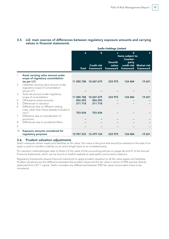### 3.5. LI2: main sources of differences between regulatory exposure amounts and carrying values in financial statements

|                |                                                        |              |                                 | <b>Sasfin Holdings Limited</b> |                               |                                      |
|----------------|--------------------------------------------------------|--------------|---------------------------------|--------------------------------|-------------------------------|--------------------------------------|
|                |                                                        | a            | $\mathbf b$                     | c                              | $\mathbf d$                   | e                                    |
|                |                                                        |              |                                 |                                | Items subject to:<br>Counter- |                                      |
|                |                                                        |              |                                 | Securiti-                      | party                         |                                      |
|                |                                                        | <b>Total</b> | <b>Credit risk</b><br>framework | sation<br>framework            | framework                     | credit risk Market risk<br>framework |
| 1              | Asset carrying value amount under                      |              |                                 |                                |                               |                                      |
|                | scope of regulatory consolidation                      |              |                                 |                                |                               |                                      |
|                | (as per LI1)                                           | 11 085 788   | 10 607 679                      | 333 975                        | 124 484                       | 19 651                               |
| $\overline{2}$ | Liabilities carrying value amount under                |              |                                 |                                |                               |                                      |
|                | regulatory scope of consolidation                      |              |                                 |                                |                               |                                      |
|                | (as per LI1)                                           |              |                                 |                                |                               |                                      |
| 3              | Total net amount under regulatory                      | 11 085 788   | 10 607 679                      | 333 975                        | 124 484                       | 19 651                               |
| 4              | scope of consolidation<br>Off-balance sheet amounts    | 856 292      | 856 292                         |                                |                               |                                      |
| 5              | Differences in valuation                               | 311 718      | 311 718                         |                                |                               |                                      |
| 6              | Differences due to different netting                   |              |                                 |                                |                               |                                      |
|                | rules, other than those already included in            |              |                                 |                                |                               |                                      |
|                | row <sub>2</sub>                                       | 703 434      | 703 434                         |                                |                               |                                      |
| 7              | Difference due to consideration of                     |              |                                 |                                |                               |                                      |
|                | provisions                                             |              |                                 |                                |                               |                                      |
| 8              | Differences due to prudential filters                  |              |                                 |                                |                               |                                      |
|                |                                                        |              |                                 |                                |                               |                                      |
| 9              |                                                        |              |                                 |                                |                               |                                      |
| 10             | Exposure amounts considered for<br>regulatory purposes | 12 957 233   | 12 479 124                      | 333 975                        | 124 484                       | 19 651                               |

### 3.6. Prudent valuation adjustments

Sasfin measures certain assets and liabilities at fair value. Fair value is the price that would be realised on the sale of an asset or paid to transfer a liability on an arm's-length basis to an unrelated party.

For valuation methodologies refer to Note 2.5 Fair value of the accounting policies on pages 46 and 47 of the Annual Financial Statements, which can be found on Sasfin's website at www.sasfin.com/investor-relations.

Regulatory frameworks require financial institutions to apply prudent valuation to all fair value assets and liabilities. Prudent valuations are the difference between the prudent value and the fair value in terms of IFRS and are directly deducted from CET 1 capital. Sasfin considers any differences between IFRS fair value and prudent value to be immaterial.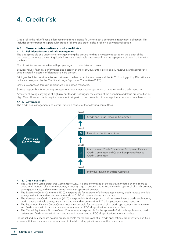# 4. Credit risk

Credit risk is the risk of financial loss resulting from a client's failure to meet a contractual repayment obligation. This includes concentration to a particular group of clients and credit default risk on a payment obligation.

### 4.1. General information about credit risk

### 4.1.1. Risk identification and risk management

The basic principle and underlying tenet governing the group's lending philosophy is based on the ability of the borrower to generate the earnings/cash flows on a sustainable basis to facilitate the repayment of their facilities with the bank.

Credit policies are conservative with proper regard to mix of risk and reward.

Security values, financial performance and position of the client/guarantors are regularly reviewed, and appropriate action taken if indicators of deterioration are present.

Pricing of facilities considers risk and return on the bank's capital resources and the ALCo funding policy. Discretionary limits are delegated by the Credit and Large Exposures Committee (CLEC).

Limits are approved through appropriately delegated mandates.

Sales is responsible for reporting excesses or irregularities outside approved parameters to the credit mandate.

Accounts showing early signs of high risk but that do not trigger the criteria of the definition of default are classified as High Care. These accounts require close monitoring with corrective action to manage them back to normal level of risk.

### 4.1.2. Governance

The credit risk management and control function consist of the following committees:



### 4.1.3. Credit oversight

- The Credit and Large Exposures Committee (CLEC) is a sub-committee of the Board, mandated by the Board to oversee all matters relating to credit risk, including large exposures and is responsible for approval of credit policies, setting guidelines, and reviewing compliance with approved policies.
- The Executive Credit Committee (ECC) is responsible for approval of all credit applications, credit reviews and field surveys within its mandate and recommends to CLEC all matters above its mandate.
- The Management Credit Committee (MCC) is responsible for the approval of all non-asset finance credit applications, credit reviews and field surveys within its mandate and recommend to ECC all applications above mandate.
- The Equipment Finance Credit Committees is responsible for the approval of all credit applications, credit reviews and field surveys within its mandate and recommend to ECC all applications above mandate.
- The Capital Equipment Finance Credit Committees is responsible for the approval of all credit applications, credit reviews and field surveys within its mandate and recommend to ECC all applications above mandate.

Individual and dual mandate holders are responsible for the approval of all credit applications, credit reviews and field surveys with their mandate and recommend to the MCC all applications above their mandates.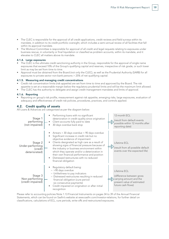- The CLEC is responsible for the approval of all credit applications, credit reviews and field surveys within its mandate, in addition to its credit portfolio oversight, which includes a semi-annual review of all facilities that fall within its approval mandate.
- The Workout Committee is responsible for approval of all credit and legal requests relating to exposures under business rescue, in voluntarily or final liquidation or classified as problem accounts, within its mandate, and it elevates to CLEC all matters above its mandate.

### 4.1.4. Large exposures

- The CLEC is the ultimate credit sanctioning authority in the Group, responsible for the approval of single name exposures that exceed 10% of the Group's qualifying capital and reserves, irrespective of risk grade, or such lower limit as may be set from time to time.
- Approval must be obtained from the Board (not only the CLEC), as well as the Prudential Authority (SARB) for all exposures to private sector non-bank persons > 25% of net qualifying capital.

### 4.1.5. Measuring and managing credit concentrations

- Credit risk concentration limits (risk appetite) are set from time to time and approved by the Board. The risk appetite is set at a reasonable margin below the regulatory prudential limits and will be the maximum limit allowed.
- The CLEC has the authority to delegate and assign credit management mandates and limits of approval.

### 4.1.6. Reporting

• Reporting on group's risk profile, measurement against risk appetite, emerging risks, large exposures, evaluation of adequacy and effectiveness of credit risk policies, procedures, practices, and controls applied.

### 4.2. Credit quality of assets

All Loans & Advances are categorised as per the diagram below:

| Stage 1<br>performing<br>(not impaired)                 | Performing loans with no significant<br>deterioration in credit quality since origination<br>Client accounts fully paid to date<br>30 days overdue back stop                                                                                                                                                                                                                                                                                        | 12-month ECL<br>(result from default events<br>possible within 12 months after<br>reporting date)                        |
|---------------------------------------------------------|-----------------------------------------------------------------------------------------------------------------------------------------------------------------------------------------------------------------------------------------------------------------------------------------------------------------------------------------------------------------------------------------------------------------------------------------------------|--------------------------------------------------------------------------------------------------------------------------|
| Stage 2<br>Under-performing<br>(credit<br>deteriorated) | Arrears > 30 days overdue < 90 days overdue<br>Significant increase in credit risk but no<br>objective evidence of impairment<br>Clients designated as high care as a result of<br>showing signs of financial pressure because of<br>the industry or business environment within<br>which they operate and/or a deterioration in<br>their own financial performance and position<br>Distressed restructures with no reduced<br>financial obligation | Lifetime ECL<br>(result from all possible default<br>events over the expected life)                                      |
| Stage 3<br>Non-performing<br>(credit impaired)          | Regulatory default being:<br>$-$ >90 days overdue<br>- Unlikeliness to pay indicators<br>- Distressed restructures resulting in reduced<br>financial obligation (cure period<br>six consecutive payments)<br>Credit impaired on origination or after initial<br>recognition                                                                                                                                                                         | Lifetime ECL<br>(difference between gross<br>carrying amount and the<br>present value of estimated<br>future cash flows) |

Please refer to accounting policies Note 1.13 Financial Instruments on pages 34 to 39 of the Annual Financial Statements, which can be found on Sasfin's website at www.sasfin.com/investor-relations, for further detail on classifications, calculations of ECL, cure periods, write-offs and restructured exposures.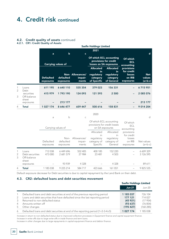### 4. Credit risk continued

### **4.2. Credit quality of assets** continued

4.2.1. CR1: Credit Quality of Assets

|   |                                    |                               |                           |                                      | <b>Sasfin Holdings Limited</b>                                  |                                                                            |                                                                  |                                 |
|---|------------------------------------|-------------------------------|---------------------------|--------------------------------------|-----------------------------------------------------------------|----------------------------------------------------------------------------|------------------------------------------------------------------|---------------------------------|
|   |                                    | a                             | $\mathbf b$               | $\mathbf{C}$                         | 2021                                                            |                                                                            |                                                                  | $\mathbf d$                     |
|   |                                    |                               | <b>Carrying values of</b> |                                      |                                                                 | Of which ECL accounting<br>provisions for credit<br>losses on SA exposures | Of which<br><b>ECL</b><br>accounting                             |                                 |
|   |                                    | <b>Defaulted</b><br>exposures | defaulted<br>exposures    | Non- Allowances/<br>impair-<br>ments | <b>Allocated</b><br>in<br>regulatory<br>category<br>of Specific | <b>Allocated</b><br>in<br>regulatory<br>category<br>of General             | provisions<br>for credit<br><b>losses</b><br>on IRB<br>exposures | <b>Net</b><br>values<br>(a+b-c) |
| 2 | Loans<br>Debt                      | 611 195                       | 6 640 110                 | 535 354                              | 379 023                                                         | 156 331                                                                    |                                                                  | 6715951                         |
| 3 | securities<br>Off-balance<br>sheet | 415 979                       | 1793190<br>213 177        | 124 093                              | 121 593                                                         | 2 500                                                                      |                                                                  | 2 085 076<br>213 177            |
| 4 | exposures<br>Total                 | 1 027 174                     | 8 646 477                 | 659 447                              | 500 616                                                         | 158 831                                                                    |                                                                  | 9 014 204                       |

|        |                                                               | a                      | b                              | C                               |                                                          |                                                                            |                                                           | d                               |
|--------|---------------------------------------------------------------|------------------------|--------------------------------|---------------------------------|----------------------------------------------------------|----------------------------------------------------------------------------|-----------------------------------------------------------|---------------------------------|
|        |                                                               | Carrying values of     |                                |                                 |                                                          | Of which ECL accounting<br>provisions for credit losses<br>on SA exposures | Of which<br>ECL<br>accounting                             |                                 |
|        |                                                               | Defaulted<br>exposures | Non-<br>defaulted<br>exposures | Allowances/<br>impair-<br>ments | Allocated<br>in<br>regulatory<br>category of<br>Specific | Allocated<br>in<br>regulatory<br>category of<br>General                    | provisions<br>for credit<br>losses<br>on IRB<br>exposures | Net values<br>$(a+b-c)$         |
| 2<br>3 | Loans<br>Debt securities<br>Off-balance<br>sheet<br>exposures | 712038<br>473 000      | 6449696<br>2681579<br>93939    | 552 405<br>27 984<br>4 3 2 8    | 400 185<br>23 4 81                                       | 152 220<br>4 5 0 3<br>4 3 2 8                                              |                                                           | 6 609 329<br>3 126 595<br>89611 |
| 4      | Total                                                         | 1 185 038              | 9 225 214                      | 584 717                         | 423 666                                                  | 161 051                                                                    |                                                           | 9 825 535                       |

Default exposure decrease for Debt securities is due to capital repayment by the Land Bank on their debt.

### 4.3. CR2: defaulted loans and debt securities movement

|                               |                                                                                                                                                                                                                                          | <b>Sasfin Holdings Limited</b>                          |                                                      |
|-------------------------------|------------------------------------------------------------------------------------------------------------------------------------------------------------------------------------------------------------------------------------------|---------------------------------------------------------|------------------------------------------------------|
|                               |                                                                                                                                                                                                                                          | <b>Jun-21</b>                                           | <b>Jun-20</b>                                        |
| 2<br>3<br>$\overline{4}$<br>5 | Defaulted loans and debt securities at end of the previous reporting period<br>Loans and debt securities that have defaulted since the last reporting period<br>Returned to non-defaulted status<br>Amounts written off<br>Other changes | 1 185 037<br>177 121<br>(45921)<br>(93637)<br>(195 427) | 726 104<br>714 027<br>(17954)<br>(76854)<br>(160285) |
| 6                             | Defaulted loans and debt securities at end of the reporting period (1+2-3-4±5)                                                                                                                                                           | 1 027 174                                               | 1 185 038                                            |

*Increase in return to non-defaulted status due to improved collection processes in Equipment finance and capital equipment finance. Increase in write-offs due to large write-offs in trade finance and term loans.*

*Increase in other changes due to large repayments in capital equipment finance and debtor finance.*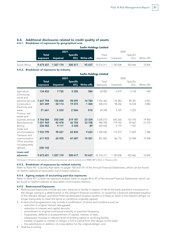### 4.4. Additional disclosures related to credit quality of assets

### 4.4.1. Breakdown of exposures by geographical area

|              |                   |                                |                 | <b>Sasfin Holdings Limited</b> |                   |           |                 |            |
|--------------|-------------------|--------------------------------|-----------------|--------------------------------|-------------------|-----------|-----------------|------------|
|              |                   | 2021                           |                 |                                |                   | 2020      |                 |            |
|              | Total<br>exposure | <b>Impaired</b> ECL Write-offs | <b>Specific</b> |                                | Total<br>exposure | Impaired  | Specific<br>ECL | Write-offs |
| South Africa | 9 673 651         | 1 027 174                      | 500 617         | 93 637                         | 10 316 311        | 1 185 038 | 423 666         | 76854      |

### 4.4.2. Breakdown of exposures by Industry

|                                                                |                                 |                              |                              | <b>Sasfin Holdings Limited</b> |                                 |                               |                            |                 |
|----------------------------------------------------------------|---------------------------------|------------------------------|------------------------------|--------------------------------|---------------------------------|-------------------------------|----------------------------|-----------------|
|                                                                |                                 | 2021                         |                              |                                |                                 | 2020                          |                            |                 |
|                                                                | <b>Total</b><br>exposure        | <b>Impaired</b>              | Specific<br><b>ECL</b>       | <b>Write-offs</b>              | Total<br>exposure               | Impaired                      | Specific<br><b>ECL</b>     | Write-offs      |
| Agriculture<br>Community,<br>social and                        | 134 452                         | 7730                         | 5 5 8 5                      | 584                            | 69 400                          | 6479                          | 4 1 5 9                    | 644             |
| personal services<br>Construction<br>Electricity and           | 1 667 794<br>321 249            | 150 604<br>58 113            | 98 095<br>19 573             | 14784<br>1 3 0 4               | 1 554 365<br>300 676            | 118 483<br>98 246             | 89 381<br>16 534           | 4961<br>3082    |
| water<br>Finance, real<br>estate and                           | 31 661                          | 3 3 3 3                      | 2 5 6 6                      | 510                            | 24 248                          | 3 1 2 9                       | 2 2 5 5                    |                 |
| business services<br>Manufacturing<br>Mining<br>Trade and      | 3766084<br>1 031 969<br>236 582 | 550 248<br>83 478<br>9 1 1 1 | 219 187<br>36 754<br>5 3 3 8 | 23 3 24<br>33 108<br>89        | 5 028 210<br>968 780<br>224 424 | 642 266<br>114 162<br>3 1 1 9 | 125 145<br>59 4 67<br>1927 | 19460<br>21 574 |
| accommodation<br>Transport and                                 | 1 533 795                       | 98 621                       | 65832                        | 9633                           | 1 344 546                       | 112 379                       | 71829                      | 7586            |
| communication<br>Other activities<br>not adequately<br>defined | 611 923<br>338 142              | 65 935                       | 47 687                       | 10 301                         | 801 662                         | 86776                         | 52 968                     | 19548           |
| Loans and<br>advances                                          | 9 673 651                       | 1 027 174                    | 500 617                      | 93 637                         | 10 316 311                      | 1 185 038                     | 423 666                    | 76854           |

*Decrease in Finance, real estate and business services due to reduction of R888 389 million in Treasury bills.* 

### 4.4.3. Breakdown of exposures by residual maturity

Refer to Note 44.1 Liquidity Risk table on pages 100 and 101 of the Annual Financial Statements, which can be found on Sasfin's website at www.sasfin.com/investor-relations.

### 4.4.4. Ageing analysis of accounting past-due exposures

Refer to Note 43.1 Credit risk exposure analysis table on pages 84 to 87 of the Annual Financial Statements, which can be found on Sasfin's website at www.sasfin.com/investor-relations.

### 4.4.5. Restructured Exposures

- Restructured exposures include any loan, advance or facility in respect of which the bank granted a concession to the obligor owing to a deterioration in the obligor's financial condition, or caused by a financial distressed situation of the relevant obligor, and which financial distressed situation results or is likely to result in the relevant obligor no longer being able to meet the terms or conditions originally agreed;
- A restructuring agreement may include a modification of terms and conditions such as:
	- reduction in original interest rate agreed;
	- reduction in interest and capital amount;
	- amendment to original contractual maturity or payment frequency;
	- forgiveness, deferral or postponement of capital, interest, or fees;
	- subsequent increase in relevant level of working capital or revolving facility;
	- transfer of assets or interest in obligor in full or partial from the obligor to the bank;
	- the substitution or addition of a new debtor for the original obligor; and
- Shall be in writing.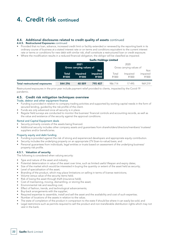### 4. Credit risk continued

### 4.4. Additional disclosures related to credit quality of assets continued

### 4.4.5. Restructured Exposures continued

- Provided that no loan, advance, increased credit limit or facility extended or renewed by the reporting bank in its ordinary course of business at a stated interest rate or on terms and conditions equivalent to the current interest rate or terms or conditions for new debt with similar risk, shall constitute a restructured loan or credit exposure.
- Where the modification results in a reduced financial obligation, the obligor will be classified as impaired.

|                              |                              |                                  | <b>Sasfin Holdings Limited</b>         |                |                                  |                          |
|------------------------------|------------------------------|----------------------------------|----------------------------------------|----------------|----------------------------------|--------------------------|
|                              |                              | 2021<br>Gross carrying values of |                                        |                | 2020<br>Gross carrying values of |                          |
|                              | <b>Total</b><br><b>R'000</b> | <b>Impaired</b><br><b>R'000</b>  | <b>Not</b><br>impaired<br><b>R'000</b> | Total<br>R'000 | Impaired<br>R'000                | Not<br>impaired<br>R'000 |
| Total restructured exposures | 844 296                      | 48 889                           | 795 407                                | 986 714        | 17495                            | 969 219                  |

Restructured exposures in the prior year include payment relief provided to clients, impacted by the Covid-19 pandemic.

### 4.5. Credit risk mitigation techniques overview

### Trade, debtor and other equipment finance

- Funding is provided in relation to company trading activities and supported by working capital needs in the form of secured lending, guided by the risk profile of the client.
- Funds are only advanced once all security is in place.
- Regular field surveys are conducted to monitor the business' financial controls and accounting records, as well as the value and existence of the security against the approval conditions.

### Rental and Capital Equipment deals

- Security primarily consists of the assets being financed.
- Additional security includes other company assets and guarantees from shareholders/directors/members/ trustees/ suppliers and/or beneficiaries.

### Property equity and debt funding

- Funding is provided against the risk of strong and experienced developers and appropriate equity contribution.
- Security includes the underlying property on an appropriate LTV (loan-to-value) basis; and
- Personal guarantees from individuals, legal entities or trusts based on assessment of the underlying business/ property risk profile.

### 4.5.1. Valuation of security

The following is considered when valuing security:

- Type and nature of the asset and industry;
- Potential deterioration in value of the asset over time, such as limited useful lifespan and expiry dates;
- Size of the market which would be interested in buying the quantity or extent of the asset held as security;
- Level of specialisation of the asset;
- Branding of the product, which may place limitations on selling in terms of license restrictions;
- Volume versus value of the security items held;
- Risk of losing the asset through theft (insurance held);
- Cost of maintaining, moving, dismantling, or storing the asset;
- Environmental risk and resulting cost;
- Effect of fashion, trends, and technological advancements;
- Buy-back arrangements with the supplier;
- Required expertise to assemble, install and sell the asset and the availability and cost of such expertise;
- Number of locations of the assets in relation to the value;
- The state of completion of the product in comparison to the state if should be where it can easily be sold; and
- Legal restrictions such as permits required to sell the product and non-transferable distribution rights which may not vest in the bank.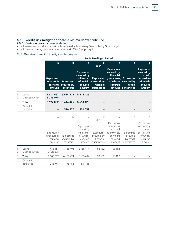### 4.5. Credit risk mitigation techniques overview continued

### 4.5.2. Review of security documentation

- All master security documentation is reviewed at least every 18 months by Group Legal.
- All custom security documentation is signed off by Group Legal.

### CR 3: Overview of credit risk mitigation techniques

|                     |                          |                                                      |                                              |                                                                          | <b>Sasfin Holdings Limited</b>                                             |                                                                                       |                                                                               |                                                                                            |
|---------------------|--------------------------|------------------------------------------------------|----------------------------------------------|--------------------------------------------------------------------------|----------------------------------------------------------------------------|---------------------------------------------------------------------------------------|-------------------------------------------------------------------------------|--------------------------------------------------------------------------------------------|
|                     |                          | $\mathbf{a}$                                         | $\mathbf b$                                  | $\mathbf{C}$                                                             | $\mathbf d$<br>2021                                                        | $\mathbf e$                                                                           | f                                                                             | $\mathbf{g}$                                                                               |
|                     |                          | <b>Exposures</b><br>unsecured:<br>carrying<br>amount | <b>Exposures</b><br>secured by<br>collateral | <b>Exposures</b><br>secured by<br>collateral,<br>secured                 | <b>Exposures</b><br>of which: secured by<br>financial<br>amount guarantees | <b>Exposures</b><br>secured by<br>financial<br>secured                                | guarantees, Exposures<br>of which: secured by<br>credit<br>amount derivatives | <b>Exposures</b><br>secured by<br>credit<br>derivatives,<br>of which:<br>secured<br>amount |
| 1<br>2              | Loans<br>Debt securities | 1611957<br>2 085 075                                 | 5 614 425                                    | 5 614 425                                                                |                                                                            |                                                                                       |                                                                               |                                                                                            |
| 3                   | <b>Total</b>             | 3 697 032                                            | 5 614 425                                    | 5 614 425                                                                |                                                                            |                                                                                       |                                                                               |                                                                                            |
| 4                   | Of which:<br>defaulted   |                                                      | 526 557                                      | 526 557                                                                  |                                                                            |                                                                                       |                                                                               |                                                                                            |
|                     |                          | a                                                    | $\mathsf b$                                  | $\mathsf{C}$                                                             | d<br>2020                                                                  | e                                                                                     | $\mathsf{f}$                                                                  | $\mathcal{G}$                                                                              |
|                     |                          | Exposures<br>unsecured:<br>carrying<br>amount        | Exposures<br>secured by<br>collateral        | Exposures<br>secured by<br>collateral,<br>of which:<br>secured<br>amount | Exposures<br>secured by<br>financial<br>guarantees                         | Exposures<br>secured by<br>financial<br>guarantees,<br>of which:<br>secured<br>amount | Exposures<br>secured<br>by credit<br>derivatives                              | Exposures<br>secured by<br>credit<br>derivatives,<br>of which:<br>secured<br>amount        |
| 1<br>$\overline{2}$ | Loans<br>Debt securities | 453 464<br>3 126 595                                 | 6 155 494                                    | 6 155 494                                                                | 53 182                                                                     | 53 182                                                                                |                                                                               |                                                                                            |
| 3                   | <b>Total</b>             | 3 580 059                                            | 6 155 494                                    | 6 155 494                                                                | 53 182                                                                     | 53 182                                                                                |                                                                               |                                                                                            |
| 4                   | Of which:<br>defaulted   | 283747                                               | 478 155                                      | 478 155                                                                  |                                                                            |                                                                                       |                                                                               |                                                                                            |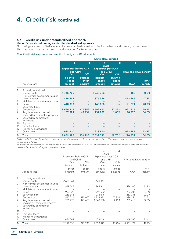### 4. Credit risk continued

### 4.6. Credit risk under standardised approach

### Use of External credit ratings under the standardised approach:

Fitch ratings are used by Sasfin as input into standardised capital formulas for the banks and sovereign asset classes. The Corporate asset classes are classified as unrated for Regulatory purposes.

### CR4: Credit risk exposures and credit risk mitigation (CRM) effects

|          |                                        |                                                                                 |                               | <b>Sasfin Bank Limited</b>                                                               |                                         |                                            |            |
|----------|----------------------------------------|---------------------------------------------------------------------------------|-------------------------------|------------------------------------------------------------------------------------------|-----------------------------------------|--------------------------------------------|------------|
|          |                                        | a<br><b>Exposures before CCF</b><br>and CRM<br>$On-$<br><b>balance</b><br>sheet | b<br>Off-<br>balance<br>sheet | $\mathbf c$<br>2021<br><b>Exposures post-CCF</b><br>and CRM<br>$On-$<br>balance<br>sheet | $\mathbf d$<br>Off-<br>balance<br>sheet | $\mathbf{e}$<br><b>RWA and RWA density</b> | <b>RWA</b> |
|          | Asset classes                          | amount                                                                          | amount                        | amount                                                                                   | amount                                  | <b>RWA</b>                                 | density    |
| 1        | Sovereigns and their                   |                                                                                 |                               |                                                                                          |                                         |                                            |            |
|          | central banks                          | 1 745 726                                                                       |                               | 1745726                                                                                  |                                         | 188                                        | 0.0%       |
| 2        | Non-central government public          |                                                                                 |                               |                                                                                          |                                         |                                            |            |
|          | sector entities                        | 876 546                                                                         |                               | 876 546                                                                                  |                                         | 418746                                     | 47.8%      |
| 3        | Multilateral development banks         |                                                                                 |                               |                                                                                          |                                         |                                            |            |
| 4<br>5   | <b>Banks</b><br>Securities firms       | 440 868                                                                         |                               | 440 868                                                                                  |                                         | 91 374                                     | 20.7%      |
| 6        | Corporates                             | 3 699 613                                                                       | 807 359                       | 3 699 613                                                                                | 67893                                   | 2 991 529                                  | 79.4%      |
| 7        | Regulatory retail portfolios           | 137829                                                                          | 48 934                        | 137 829                                                                                  | 1809                                    | 90 270                                     | 64.6%      |
| 8        | Secured by residential property        |                                                                                 |                               |                                                                                          |                                         |                                            |            |
| 9        | Secured by commercial                  |                                                                                 |                               |                                                                                          |                                         |                                            |            |
|          | real estate                            |                                                                                 |                               |                                                                                          |                                         |                                            |            |
| 10       | Equity                                 |                                                                                 |                               |                                                                                          |                                         |                                            |            |
| 11       | Past-due loans                         |                                                                                 |                               |                                                                                          |                                         |                                            |            |
| 12<br>13 | Higher-risk categories<br>Other assets | 938 810                                                                         |                               | 938 810                                                                                  |                                         | 678 245                                    | 72.2%      |
|          |                                        |                                                                                 |                               |                                                                                          |                                         |                                            |            |
| 14       | Total                                  | 7839392                                                                         | 856 293                       | 7839392                                                                                  | 69702                                   | 4 270 352                                  | 54.0%      |

*Reduction in Securities firms due to adoption of look-through approach on money market funds. This moved the exposures to equity investments in funds.*

*Reduction in Regulatory Retail portfolios and increase in Corporates asset classes driven by the re-allocation of various clients' exposures not meeting the definition of regulatory retail exposure.*

|    |                                            | a                    | b       | C<br>2020          | d              | e                   |                  |
|----|--------------------------------------------|----------------------|---------|--------------------|----------------|---------------------|------------------|
|    |                                            | Exposures before CCF |         | Exposures post-CCF |                |                     |                  |
|    |                                            | and CRM              |         | and CRM            |                | RWA and RWA density |                  |
|    |                                            | $On-$                | $Off-$  | $On-$              | $\bigcirc$ ff- |                     |                  |
|    |                                            | balance              | balance | balance            | balance        |                     |                  |
|    |                                            | sheet                | sheet   | sheet              | sheet          |                     | <b>RWA</b>       |
|    | Asset classes                              | amount               | amount  | amount             | amount         | <b>RWA</b>          | density          |
| 1  | Sovereigns and their                       |                      |         |                    |                |                     |                  |
|    | central banks                              | 2 638 364            |         | 2 638 364          |                |                     |                  |
| 2  | Non-central government public              |                      |         |                    |                |                     |                  |
|    | sector entities                            | 969747               |         | 965 642            |                | 598 100             | 61.9%            |
| 3  | Multilateral development banks             |                      |         |                    |                |                     |                  |
| 4  | <b>Banks</b>                               | 999 522              |         | 999 522            |                | 223 304             | 22.3%            |
| 5  | Securities firms                           | 233 346<br>1 940 721 | 395 072 | 233 346<br>1732373 | 75 804         | 233 346<br>1838154  | 100.0%<br>101.7% |
| 6  | Corporates<br>Regulatory retail portfolios | 1761772              | 477 658 | 1 540 500          | 14 493         | 1 289 413           | 82.9%            |
| 8  | Secured by residential property            |                      |         |                    |                |                     |                  |
| 9  | Secured by commercial                      |                      |         |                    |                |                     |                  |
|    | real estate                                |                      |         |                    |                |                     |                  |
| 10 | Equity                                     |                      |         |                    |                |                     |                  |
| 11 | Past-due loans                             |                      |         |                    |                |                     |                  |
| 12 | Higher-risk categories                     |                      |         |                    |                |                     |                  |
| 13 | Other assets                               | 676 064              |         | 676 064            |                | 369 360             | 54.6%            |
| 14 | Total                                      | 9 219 536            | 872730  | 9038473            | 90 296         | 4 5 5 1 6 7 7       | 49.9%            |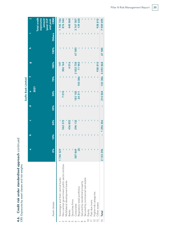4.6. Credit risk under standardised approach continued<br>CR5: Exposures by asset classes and risk weights 4.6. Credit risk under standardised approach continued CR5: Exposures by asset classes and risk weights Sasfin Bank Limited

Sasfin Bank Limited

|               |                                               | ø                        |     |           |     | 2021<br>$\bullet$ |                          | <u>ຫ</u>            |        |               |                                                                                          |
|---------------|-----------------------------------------------|--------------------------|-----|-----------|-----|-------------------|--------------------------|---------------------|--------|---------------|------------------------------------------------------------------------------------------|
|               | Asset classes                                 | ఠి                       | 10% | 20%       | 35% | 50%               | 75%                      | 100%                | 150%   | <b>Others</b> | <b>Total credit</b><br>exposures<br><b>Lost CCF</b><br>and post-<br><b>CRM</b><br>amount |
|               | Sovereigns and their central banks            | 1745529                  |     |           |     |                   | I                        | 197                 |        |               | 1745726                                                                                  |
|               | Non-central government public sector entities |                          |     | 563372    |     | 7010              |                          | 306164              |        |               | 876546                                                                                   |
|               | Multilateral development banks                |                          |     |           |     |                   |                          |                     |        |               |                                                                                          |
|               | <b>Banks</b>                                  |                          |     | 436852    |     |                   |                          | 4016                |        |               | 440868                                                                                   |
|               | Securities firms                              |                          |     |           |     |                   |                          |                     |        |               |                                                                                          |
|               | Corporates                                    | 387869                   |     | 296 132   |     |                   |                          |                     | 67 585 |               |                                                                                          |
|               | Regulatory retail portfolios                  | $\widetilde{\mathbf{N}}$ |     |           |     | 183 183<br>24 311 | 103386                   | 2 832 738<br>11 943 |        |               | 3767507<br>139638                                                                        |
| $\infty$      | Secured by residential property               |                          |     |           |     |                   |                          |                     |        |               |                                                                                          |
| $\circ$       | Secured by commercial real estate             |                          |     |           |     |                   |                          |                     |        |               |                                                                                          |
| $\supseteq$   | Equity                                        |                          |     |           |     |                   |                          |                     |        |               |                                                                                          |
|               | Past-due loans                                |                          |     |           |     |                   |                          |                     |        |               |                                                                                          |
| $\approx$     | Higher-risk categories                        |                          |     |           |     |                   |                          |                     |        |               |                                                                                          |
| $\frac{3}{2}$ | Other assets                                  | I                        | ı   | Ī         | I   | I                 | $\overline{\phantom{a}}$ | 938810              | I      | I             | 938 810                                                                                  |
| $\frac{4}{3}$ | Total                                         | 2 133 396                | T   | 1 296 356 | I   | 214504            |                          | 103 386 4 093 868   | 67585  | Ï             | <b>560 606 Z</b>                                                                         |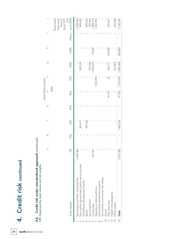$\begin{array}{ll} \textbf{26} & \textbf{4.} & \textbf{C} \textbf{redi} \textbf{t} & \textbf{r} \textbf{i} \textbf{s} & \textbf{c} \textbf{on} \textbf{t} \textbf{in} \textbf{u} \textbf{e} \textbf{d} \\ \textbf{28} & \textbf{29} \textbf{m} \textbf{b} & \textbf{c} \textbf{r} \textbf{e} \textbf{d} \textbf{i} \textbf{r} & \textbf{f} \textbf{i} \textbf{s} & \textbf{t} \textbf{d} \textbf{a} \textbf{r} \textbf{d} \textbf{i} \$ 

Sasfin Bank Limited

Sasfin Bank Limited  $\circ$ 

 $\ddot{}$ 

 $\bigcirc$ 

 $\Omega$ 

 $\ddotsc$ 

 $\frac{1}{2}$ 

|                |                                               | G                                                                                                                                                                                                                                                                                                                                                                                | ≏                        | $\cup$  |     | $\mathbb{O}$ |         | O)      |        |                          |                               |
|----------------|-----------------------------------------------|----------------------------------------------------------------------------------------------------------------------------------------------------------------------------------------------------------------------------------------------------------------------------------------------------------------------------------------------------------------------------------|--------------------------|---------|-----|--------------|---------|---------|--------|--------------------------|-------------------------------|
|                |                                               |                                                                                                                                                                                                                                                                                                                                                                                  |                          |         |     | 2020         |         |         |        |                          |                               |
|                |                                               |                                                                                                                                                                                                                                                                                                                                                                                  |                          |         |     |              |         |         |        |                          | Total credit                  |
|                |                                               |                                                                                                                                                                                                                                                                                                                                                                                  |                          |         |     |              |         |         |        |                          | exposures                     |
|                |                                               |                                                                                                                                                                                                                                                                                                                                                                                  |                          |         |     |              |         |         |        |                          | amount                        |
|                |                                               |                                                                                                                                                                                                                                                                                                                                                                                  |                          |         |     |              |         |         |        |                          | (post CCF                     |
|                |                                               |                                                                                                                                                                                                                                                                                                                                                                                  |                          |         |     |              |         |         |        |                          | and                           |
|                | Asset classes                                 | 0%                                                                                                                                                                                                                                                                                                                                                                               | 10%                      | 20%     | 35% | 50%          | 75%     | 100%    | 150%   | Others                   | post-CRM)                     |
|                | Sovereigns and their central banks            | 2638364                                                                                                                                                                                                                                                                                                                                                                          |                          |         |     |              |         |         |        |                          | 2638364                       |
|                | Non-central government public sector entities |                                                                                                                                                                                                                                                                                                                                                                                  |                          | 463411  |     |              |         | 502 232 |        |                          | 965642                        |
|                | Multilateral development banks                |                                                                                                                                                                                                                                                                                                                                                                                  |                          |         |     |              |         |         |        |                          |                               |
|                | <b>Banks</b>                                  |                                                                                                                                                                                                                                                                                                                                                                                  |                          | 999 522 |     |              |         |         |        |                          | 999 522                       |
|                | Securities firms                              |                                                                                                                                                                                                                                                                                                                                                                                  |                          |         |     |              |         | 233 346 |        |                          |                               |
| $\circ$        | Corporates                                    | 272021                                                                                                                                                                                                                                                                                                                                                                           |                          |         |     |              |         | 465 695 | 70460  |                          | 233 346<br>808 176<br>554 993 |
| $\sim \infty$  | Regulatory retail portfolios                  |                                                                                                                                                                                                                                                                                                                                                                                  |                          |         |     |              | 554993  |         |        |                          |                               |
|                | Secured by residential property               |                                                                                                                                                                                                                                                                                                                                                                                  |                          |         |     |              |         |         |        |                          |                               |
| $\circ$        | Secured by commercial real estate             |                                                                                                                                                                                                                                                                                                                                                                                  |                          |         |     |              |         |         |        |                          |                               |
| $\supseteq$    | Equity                                        |                                                                                                                                                                                                                                                                                                                                                                                  |                          |         |     |              |         |         |        |                          |                               |
|                | Past-due loans                                |                                                                                                                                                                                                                                                                                                                                                                                  |                          |         |     | <b>4105</b>  | 25      | 105 151 | 33 380 |                          | 252 661                       |
| $\overline{C}$ | Higher-risk categories                        |                                                                                                                                                                                                                                                                                                                                                                                  |                          |         |     |              |         |         |        |                          |                               |
| $\frac{3}{2}$  | Other assets                                  | $\begin{array}{c} \rule{0pt}{2.5ex} \rule{0pt}{2.5ex} \rule{0pt}{2.5ex} \rule{0pt}{2.5ex} \rule{0pt}{2.5ex} \rule{0pt}{2.5ex} \rule{0pt}{2.5ex} \rule{0pt}{2.5ex} \rule{0pt}{2.5ex} \rule{0pt}{2.5ex} \rule{0pt}{2.5ex} \rule{0pt}{2.5ex} \rule{0pt}{2.5ex} \rule{0pt}{2.5ex} \rule{0pt}{2.5ex} \rule{0pt}{2.5ex} \rule{0pt}{2.5ex} \rule{0pt}{2.5ex} \rule{0pt}{2.5ex} \rule{0$ | I                        | $\mid$  | I   | I            | I       | 676064  | I      | I                        | 676064                        |
| $\frac{4}{3}$  | Total                                         | 2910385                                                                                                                                                                                                                                                                                                                                                                          | $\overline{\phantom{a}}$ | 1462933 |     | 14 105       | 1555018 | 2982488 | 203840 | $\overline{\phantom{a}}$ | 9 128 769                     |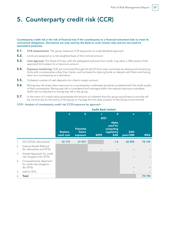## 5. Counterparty credit risk (CCR)

### Counterparty credit risk is the risk of financial loss if the counterparty to a financial instrument fails to meet its contractual obligations. Derivatives are only used by the Bank to cover known risks and are not used for speculative purposes.

- **5.1.** CCR measurement: The group measures CCR exposures on a standardised approach.
- **5.2.** Limits are assigned on a risk weighted basis of the nominal amount.
- 5.3. Limit approval: The Head of Forex, with the delegated authority from credit, may allow a 10% excess of the approved limit subject to a maximum amount.
- **5.4.** Exposure monitoring: CCR are monitored through the ALCO Exco sub-committee by setting and monitoring limits with counterparties other than clients, such as banks for placing funds on deposit with them and having them as a counterparty to a derivative.
- **5.5.** Collateral consists of cash deposits into client's margin account.
- 5.6. Wrong-way risk arises when exposure to a counterparty is adversely (positive) correlated with the credit quality of that counterparty. Wrong-way risk is considered and managed within the relevant exposure mandates. Sasfin has no exposure to wrong-way risk in the group.
- **5.7.** In the event of a credit rating downgrade the amount of collateral that the group would have to provide will be minimal due to the policy of the group to manage the net open position of the Group to be minimal.

### CCR1: Analysis of counterparty credit risk (CCR) exposure by approach

|                |                                                                    |                              |                                        |              | <b>Sasfin Bank Limited</b>                                                |                        |            |
|----------------|--------------------------------------------------------------------|------------------------------|----------------------------------------|--------------|---------------------------------------------------------------------------|------------------------|------------|
|                |                                                                    | a                            | $\mathbf b$                            | $\mathbf{C}$ | $\mathbf d$                                                               | $\mathbf{e}$           |            |
|                |                                                                    | <b>Replace-</b><br>ment cost | <b>Potential</b><br>future<br>exposure | <b>EEPE</b>  | 2021<br><b>Alpha</b><br>used for<br>computing<br>regulatory<br><b>EAD</b> | <b>EAD</b><br>post-CRM | <b>RWA</b> |
| 1              | SA-CCR (for derivatives)                                           | 32 175                       | 27 037                                 |              | 1.4                                                                       | 82898                  | 78 190     |
| 2              | Internal Model Method<br>(for derivatives and SFTs)                |                              |                                        |              |                                                                           |                        |            |
| 3              | Simple Approach for credit<br>risk mitigation (for SFTs)           |                              |                                        |              |                                                                           |                        |            |
| $\overline{4}$ | Comprehensive Approach<br>for credit risk mitigation<br>(for SFTs) |                              |                                        |              |                                                                           |                        |            |
| 5              | VaR for SFTs                                                       |                              |                                        |              |                                                                           |                        |            |
| 6              | Total                                                              |                              |                                        |              |                                                                           |                        | 78 190     |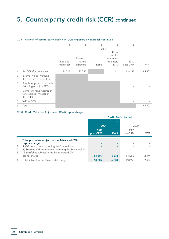# 5. Counterparty credit risk (CCR) continued

### CCR1: Analysis of counterparty credit risk (CCR) exposure by approach continued

|                |                                                                    | a                     | b                               | $\mathsf{C}$ | d                                                           | e                      |            |
|----------------|--------------------------------------------------------------------|-----------------------|---------------------------------|--------------|-------------------------------------------------------------|------------------------|------------|
|                |                                                                    | Replace-<br>ment cost | Potential<br>future<br>exposure | EEPE         | 2020<br>Alpha<br>used for<br>computing<br>regulatory<br>EAD | <b>EAD</b><br>post-CRM | <b>RWA</b> |
|                | SA-CCR (for derivatives)                                           | 84 537                | 33755                           |              | 1.4                                                         | 118 293                | 95 500     |
| 2              | Internal Model Method<br>(for derivatives and SFTs)                |                       |                                 |              |                                                             |                        |            |
| 3              | Simple Approach for credit<br>risk mitigation (for SFTs)           |                       |                                 |              |                                                             |                        |            |
| $\overline{4}$ | Comprehensive Approach<br>for credit risk mitigation<br>(for SFTs) |                       |                                 |              |                                                             |                        |            |
| 5              | VaR for SFTs                                                       |                       |                                 |              |                                                             |                        |            |
| 6              | Total                                                              |                       |                                 |              |                                                             |                        | 95 500     |

### CCR2: Credit Valuation Adjustment (CVA) capital charge

|                |                                                                                                             |                        | <b>Sasfin Bank Limited</b> |                 |            |
|----------------|-------------------------------------------------------------------------------------------------------------|------------------------|----------------------------|-----------------|------------|
|                |                                                                                                             | $\mathbf{a}$           | ь                          | a               | h          |
|                |                                                                                                             | 2021                   |                            | 2020            |            |
|                |                                                                                                             | <b>EAD</b><br>post-CRM | <b>RWA</b>                 | EAD<br>post-CRM | <b>RWA</b> |
|                | Total portfolios subject to the Advanced CVA                                                                |                        |                            |                 |            |
| 1              | capital charge<br>(i) VaR component (including the 3x multiplier)                                           |                        |                            |                 |            |
| 2<br>3         | (ii) Stressed VaR component (including the 3x multiplier)<br>All portfolios subject to the Standardised CVA |                        |                            |                 |            |
|                | capital charge                                                                                              | 68 809                 | 6 3 3 1                    | 118 293         | 2474       |
| $\overline{4}$ | Total subject to the CVA capital charge                                                                     | 68 809                 | 6 3 3 1                    | 118 293         | 2474       |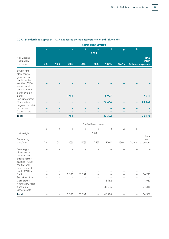|                                                          |    |                          |              |             | <b>Sasfin Bank Limited</b> |         |              |              |                                           |
|----------------------------------------------------------|----|--------------------------|--------------|-------------|----------------------------|---------|--------------|--------------|-------------------------------------------|
|                                                          | a  | $\mathbf b$              | $\mathbf{c}$ | $\mathbf d$ | $\mathbf{e}$<br>2021       | f       | $\mathbf{g}$ | $\mathsf{h}$ |                                           |
| Risk weight<br>Regulatory<br>portfolio                   | 0% | 10%                      | 20%          | 50%         | 75%                        | 100%    | 150%         |              | <b>Total</b><br>credit<br>Others exposure |
| Sovereigns<br>Non-central<br>government<br>public sector |    |                          |              |             |                            |         |              |              |                                           |
| entities (PSEs)<br>Multilateral<br>development           |    |                          |              |             |                            |         |              |              |                                           |
| banks (MDBs)                                             |    |                          |              |             |                            |         |              |              |                                           |
| <b>Banks</b>                                             |    |                          | 1784         |             |                            | 5927    |              | -            | 7 7 1 1                                   |
| Securities firms                                         |    |                          |              |             |                            |         |              |              |                                           |
| Corporates<br>Regulatory retail                          |    |                          |              |             | -                          | 24 4 64 |              | -            | 24 4 64                                   |
| portfolios                                               |    |                          |              |             |                            |         |              |              |                                           |
| Other assets                                             |    |                          |              |             |                            |         |              |              |                                           |
| <b>Total</b>                                             |    | $\overline{\phantom{0}}$ | 1784         |             | -                          | 30 392  |              | -            | 32 175                                    |

### CCR3: Standardised approach – CCR exposures by regulatory portfolio and risk weights

|                                                                 |    |                          |             |         | Sasfin Bank Limited      |        |              |                          |                             |
|-----------------------------------------------------------------|----|--------------------------|-------------|---------|--------------------------|--------|--------------|--------------------------|-----------------------------|
|                                                                 | a  | b                        | $\mathsf C$ | d       | e                        | f      | $\mathcal G$ | h                        | i.                          |
| Risk weight                                                     |    |                          |             |         | 2020                     |        |              |                          |                             |
| Regulatory<br>portfolio                                         | 0% | 10%                      | 20%         | 50%     | 75%                      | 100%   | 150%         | Others                   | Total<br>credit<br>exposure |
| Sovereigns<br>Non-central<br>government                         |    |                          |             |         |                          |        |              |                          |                             |
| public sector<br>entities (PSEs)<br>Multilateral<br>development |    |                          |             |         |                          |        |              |                          |                             |
| banks (MDBs)                                                    |    |                          |             |         |                          |        |              |                          |                             |
| <b>Banks</b>                                                    |    | $\overline{\phantom{0}}$ | 2706        | 33 5 34 |                          |        |              |                          | 36 240                      |
| Securities firms                                                |    |                          | -           |         |                          |        |              |                          |                             |
| Corporates<br>Regulatory retail                                 |    |                          |             |         | -                        | 13 982 |              | $\overline{\phantom{0}}$ | 13 982                      |
| portfolios                                                      |    |                          |             |         |                          | 34 315 |              | $\overline{\phantom{0}}$ | 34 31 5                     |
| Other assets                                                    |    |                          |             |         |                          |        |              |                          |                             |
| <b>Total</b>                                                    |    | $\qquad \qquad -$        | 2706        | 33 5 34 | $\overline{\phantom{0}}$ | 48 298 |              | $\overline{\phantom{0}}$ | 84 537                      |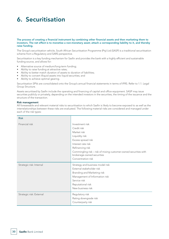# 6. Securitisation

### The process of creating a financial instrument by combining other financial assets and then marketing them to investors. The net effect is to monetise a non-monetary asset; attach a corresponding liability to it, and thereby raise funding.

The Group's securitisation vehicle, South African Securitisation Programme (Pty) Ltd (SASP) is a traditional securitisation scheme from a Regulatory and SARS perspective.

Securitisation is a key funding mechanism for Sasfin and provides the bank with a highly efficient and sustainable funding source, and allows for:

- Alternative source of medium/long-term funding;
- Ability to raise funding at attractive rates;
- Ability to better match duration of assets to duration of liabilities;
- Ability to convert illiquid assets into liquid securities; and
- Ability to achieve optimal gearing.

Securitisation SPVs are consolidated onto the Group's annual financial statements in terms of IFRS. Refer to 1.1. Legal Group Structure.

Assets securitised by Sasfin include the operating and financing of capital and office equipment. SASP may issue securities publicly or privately, depending on the intended investors in the securities, the timing of the issuance and the structure of the transaction.

#### Risk management

All foreseeable and relevant material risks to securitisation to which Sasfin is likely to become exposed to as well as the interrelationships between these risks are evaluated. The following material risks are considered and managed under each of the risk types:

| <b>Risk</b>              |                                                                                                                                                                                                                                                         |
|--------------------------|---------------------------------------------------------------------------------------------------------------------------------------------------------------------------------------------------------------------------------------------------------|
| Financial risk           | Investment risk<br>Credit risk<br>Market risk<br>Liquidity risk<br>Excess spread risk<br>Interest rate risk<br>Refinancing risk<br>Commingling risk - risk of mixing customer-owned securities with<br>brokerage-owned securities<br>Concentration risk |
| Strategic risk: Internal | Strategy and business model risk<br>External stakeholder risk<br>Branding and Marketing risk<br>Management of Information risk<br>Service risk<br>Reputational risk<br>New business risk                                                                |
| Strategic risk: External | Regulatory risk<br>Rating downgrade risk<br>Counterparty risk                                                                                                                                                                                           |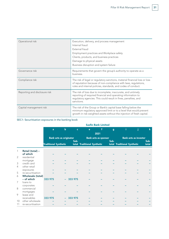| Operational risk              | Execution, delivery, and process management<br>Internal fraud<br>External fraud<br>Employment practices and Workplace safety<br>Clients, products, and business practices<br>Damage to physical assets<br>Business disruption and system failure |
|-------------------------------|--------------------------------------------------------------------------------------------------------------------------------------------------------------------------------------------------------------------------------------------------|
| Governance risk               | Requirements that govern the group's authority to operate as a<br>business.                                                                                                                                                                      |
| Compliance risk               | The risk of legal or regulatory sanctions, material financial loss or loss<br>of reputation because of non-compliance with laws, regulations,<br>rules and internal policies, standards, and codes of conduct.                                   |
| Reporting and disclosure risk | The risk of loss due to incomplete, inaccurate, and untimely<br>reporting of required financial and operating information to<br>regulatory agencies. This could result in fines, penalties, and<br>sanctions.                                    |
| Capital management risk       | The risk of the Group or Bank's capital base falling below the<br>minimum regulatory approved limit or to a level that would prevent<br>growth in risk weighted assets without the injection of fresh capital.                                   |

### SEC1: Securitisation exposures in the banking book

|                |                   |                              |                                |              |                             | <b>Sasfin Bank Limited</b>  |              |                             |                              |             |
|----------------|-------------------|------------------------------|--------------------------------|--------------|-----------------------------|-----------------------------|--------------|-----------------------------|------------------------------|-------------|
|                |                   | a                            | $\mathbf b$                    | $\mathbf{C}$ | $\mathbf{e}$                | Ŧ                           | $\mathbf{g}$ | ĩ                           |                              | $\mathbf k$ |
|                |                   |                              |                                |              |                             | 2021                        |              |                             |                              |             |
|                |                   |                              | <b>Bank acts as originator</b> |              |                             | <b>Bank acts as sponsor</b> |              |                             | <b>Bank acts as investor</b> |             |
|                |                   |                              |                                | Sub-         |                             |                             | Sub-         |                             |                              | Sub-        |
|                |                   | <b>Traditional Synthetic</b> |                                |              | total Traditional Synthetic |                             |              | total Traditional Synthetic |                              | total       |
| 1              | Retail (total) -  |                              |                                |              |                             |                             |              |                             |                              |             |
|                | of which          |                              |                                |              |                             |                             |              |                             |                              |             |
| 2              | residential       |                              |                                |              |                             |                             |              |                             |                              |             |
|                | mortgage          |                              |                                |              |                             |                             |              |                             |                              |             |
| 3              | credit card       |                              |                                |              |                             |                             |              |                             |                              |             |
| $\overline{4}$ | other retail      |                              |                                |              |                             |                             |              |                             |                              |             |
|                | exposures         |                              |                                |              |                             |                             |              |                             |                              |             |
| 5              | re-securitisation |                              |                                |              |                             |                             |              |                             |                              |             |
| 6              | Wholesale (total) |                              |                                |              |                             |                             |              |                             |                              |             |
|                | - of which        | 333 975                      |                                | 333 975      |                             |                             |              |                             |                              |             |
| $\overline{7}$ | loans to          |                              |                                |              |                             |                             |              |                             |                              |             |
|                | corporates        |                              |                                |              |                             |                             |              |                             |                              |             |
| 8              | commercial        |                              |                                |              |                             |                             |              |                             |                              |             |
|                | mortgages         |                              |                                |              |                             |                             |              |                             |                              |             |
| 9              | lease and         |                              |                                |              |                             |                             |              |                             |                              |             |
|                | receivables       | 333 975                      |                                | 333 975      |                             |                             |              |                             |                              |             |
| 10             | other wholesale   |                              |                                |              |                             |                             |              |                             |                              |             |
| 11             | re-securitisation |                              |                                |              |                             |                             |              |                             |                              |             |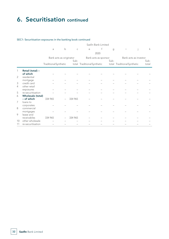# 6. Securitisation continued

### SEC1: Securitisation exposures in the banking book continued

|    |                         |                         |   |             |                             | Sasfin Bank Limited  |               |                             |                       |       |
|----|-------------------------|-------------------------|---|-------------|-----------------------------|----------------------|---------------|-----------------------------|-----------------------|-------|
|    |                         | a                       | b | $\mathsf C$ | $\rm _e$                    | f                    | $\mathcal{G}$ | Ť                           |                       | k.    |
|    |                         |                         |   |             |                             | 2020                 |               |                             |                       |       |
|    |                         | Bank acts as originator |   | Sub-        |                             | Bank acts as sponsor | Sub-          |                             | Bank acts as investor | Sub-  |
|    |                         | Traditional Synthetic   |   |             | total Traditional Synthetic |                      |               | total Traditional Synthetic |                       | total |
| 1  | Retail (total) -        |                         |   |             |                             |                      |               |                             |                       |       |
| 2  | of which<br>residential |                         |   |             |                             |                      |               |                             |                       |       |
|    | mortgage                |                         |   |             |                             |                      |               |                             |                       |       |
| 3  | credit card             |                         |   |             |                             |                      |               |                             |                       |       |
| 4  | other retail            |                         |   |             |                             |                      |               |                             |                       |       |
|    | exposures               |                         |   |             |                             |                      |               |                             |                       |       |
| 5  | re-securitisation       |                         |   |             |                             |                      |               |                             |                       |       |
| 6  | Wholesale (total)       |                         |   |             |                             |                      |               |                             |                       |       |
|    | - of which              | 334 965                 |   | 334 965     |                             |                      |               |                             |                       |       |
| 7  | loans to                |                         |   |             |                             |                      |               |                             |                       |       |
|    | corporates              |                         |   |             |                             |                      |               |                             |                       |       |
| 8  | commercial              |                         |   |             |                             |                      |               |                             |                       |       |
| 9  | mortgages<br>lease and  |                         |   |             |                             |                      |               |                             |                       |       |
|    | receivables             | 334 965                 |   | 334 965     |                             |                      |               |                             |                       |       |
| 10 | other wholesale         |                         |   |             |                             |                      |               |                             |                       |       |
| 11 | re-securitisation       |                         |   |             |                             |                      |               |                             |                       |       |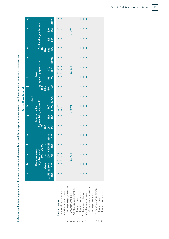SEC3: Securitisation exposures in the banking book and associated regulatory capital requirements - bank acting as originator or as a sponsor SEC3: Securitisation exposures in the banking book and associated regulatory capital requirements – bank acting as originator or as a sponsor

|                                               |                            |                             |        |                                |             |                |                        |                  |                                | Sasfin Bank Limited |                                  |            |                                       |   |               |                  |                            |   |
|-----------------------------------------------|----------------------------|-----------------------------|--------|--------------------------------|-------------|----------------|------------------------|------------------|--------------------------------|---------------------|----------------------------------|------------|---------------------------------------|---|---------------|------------------|----------------------------|---|
|                                               |                            | <b>IC</b>                   | ء      |                                |             | $\bullet$      |                        | ັດ               | <u>c</u>                       |                     |                                  | ⊻          |                                       | E | s             | $\bullet$        | ௨                          | о |
|                                               |                            |                             |        |                                |             |                |                        |                  |                                | 2021                |                                  |            |                                       |   |               |                  |                            |   |
|                                               |                            |                             |        | Exposure values                |             |                |                        |                  | Exposure values                |                     |                                  | <b>RWA</b> |                                       |   |               |                  |                            |   |
|                                               |                            |                             |        | (by RW bands)                  |             |                |                        |                  | (by regulatory approach        |                     |                                  |            | (by regulatory approach               |   |               |                  | Capital charge after cap   |   |
|                                               |                            |                             | >20%   | $50\% > 100\%$<br>$\mathbf{e}$ |             |                |                        |                  |                                |                     | IRB<br><b>RBA</b>                |            |                                       |   | IRB           |                  |                            |   |
|                                               |                            | $\leq$ 20% to 50%<br>$\geq$ | $\geq$ | 100%<br>$\geq$                 | < 1250<br>⋧ | RN<br>$1250\%$ | <b>REA</b><br>REA (EA) | <b>RE</b><br>SFA | <b>SSFA 1250%</b><br><b>SA</b> |                     | $rac{1}{ \mathbf{A}\mathbf{A} }$ | <b>REA</b> | <b>SSFA</b> 1250%<br>$S_{\mathbf{A}}$ |   | RBA<br>(inc.) | <b>RE</b><br>SFA | SSFA 1250%<br>$\mathbf{X}$ |   |
|                                               | Total exposures            | ī                           | ï      | 333 975                        |             |                |                        |                  | 333 975                        |                     |                                  |            | 333 975                               |   |               |                  | 33 397                     |   |
|                                               | Traditional securitisation |                             | ï      | 333 975                        |             |                |                        |                  | 333 975                        |                     |                                  |            | 333 975                               |   |               |                  | 33 397                     |   |
|                                               | Of which securitisation    |                             |        |                                |             |                |                        |                  |                                |                     |                                  |            |                                       |   |               |                  |                            |   |
| ₹                                             | Of which retail underlying |                             |        |                                |             |                |                        |                  |                                |                     |                                  |            |                                       |   |               |                  |                            |   |
| $\sqrt{ }$                                    | Of which wholesale         |                             |        | 333 975                        |             |                |                        |                  | 333 975                        |                     |                                  |            | 333 975                               |   |               |                  | 33 397                     |   |
| ╰                                             | Of which re-securitisation |                             |        |                                |             |                |                        |                  |                                |                     |                                  |            |                                       |   |               |                  |                            |   |
|                                               | Of which senior            |                             |        |                                |             |                |                        |                  |                                |                     |                                  |            |                                       |   |               |                  |                            |   |
| $\infty$                                      | Of which non-senior        |                             |        |                                |             |                |                        |                  |                                |                     |                                  |            |                                       |   |               |                  |                            |   |
| $\circ$                                       | Synthetic securitisation   |                             |        |                                |             |                |                        |                  |                                |                     |                                  |            |                                       |   |               |                  |                            |   |
| $\supseteq$                                   | Of which securitisation    |                             |        |                                |             |                |                        |                  |                                |                     |                                  |            |                                       |   |               |                  |                            |   |
| $\begin{array}{c} -2 \\ -2 \\ -2 \end{array}$ | Of which retail underlying |                             |        |                                |             |                |                        |                  |                                |                     |                                  |            |                                       |   |               |                  |                            |   |
|                                               | Of which wholesale         | ı                           | ı      |                                |             |                |                        |                  |                                |                     |                                  |            |                                       |   |               |                  |                            |   |
|                                               | Of which re-securitisation |                             |        |                                |             |                |                        |                  |                                |                     |                                  |            |                                       |   |               |                  |                            |   |
| $\overline{4}$                                | Of which senior            |                             |        |                                |             |                |                        |                  |                                |                     |                                  |            |                                       |   |               |                  |                            |   |
| $\overline{5}$                                | Of which non-senior        |                             |        |                                |             |                |                        |                  |                                |                     |                                  |            |                                       |   |               |                  |                            |   |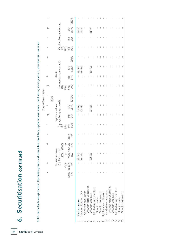6. Securitisation continued 6. Securitisation continued

SEC3: Securitisation exposures in the banking book and associated regulatory capital requirements - bank acting as originator or as a sponsor continued 34 Securitisation exposures in the banking book and associated regulatory capital requirements – bank acting as originator or as a sponsor continued<br>Bank EC3: Securitisation exposures in the banking book and associated reg

Sasfin Bank Limited

|                |                            | σ  | $\Omega$   | $\cup$                                               |                               | $\circ$   |                                                                                                               | g               |                          |      |                  |            |                                                                              | E | C                                                                                   | O | Ω                 | σ |
|----------------|----------------------------|----|------------|------------------------------------------------------|-------------------------------|-----------|---------------------------------------------------------------------------------------------------------------|-----------------|--------------------------|------|------------------|------------|------------------------------------------------------------------------------|---|-------------------------------------------------------------------------------------|---|-------------------|---|
|                |                            |    |            |                                                      |                               |           |                                                                                                               |                 |                          | 2020 |                  |            |                                                                              |   |                                                                                     |   |                   |   |
|                |                            |    |            | Exposure values<br>(by RW bands)                     | $>50\% > 100\%$               |           |                                                                                                               | Exposure values | (by regulatory approach) |      |                  | RWA        |                                                                              |   |                                                                                     |   |                   |   |
|                |                            | RW | >20%<br>RW | $\leq$ 20% to 50% 100% <1250%<br>$\frac{1}{2}$<br>RW | $\frac{1}{2}$<br>$\gtrapprox$ | R<br>250% | $\begin{array}{c}\n\mathbb{RB}\n\\ \mathbb{R}\boxtimes\cong\bigoplus\limits_{i=1}^{n}\mathbb{R}\n\end{array}$ | IRB<br>SFA      | SA/<br>SSFA 1250%        |      | $(\overline{A})$ | IRB<br>SFA | SA/<br>SSFA 1250%<br>(by regulatory approach)<br>IRB<br>RBA<br>(inc. IRB SA/ |   | Capital charge after cap<br>IRB<br>RBA<br>(inc. IRB SSFA 125(<br>IAA) SFA SSFA 125( |   | SA/<br>SSFA 1250% |   |
|                | Total exposures            |    |            | 334 965                                              |                               |           |                                                                                                               |                 | 334 965                  |      |                  |            | 334 965                                                                      |   |                                                                                     |   | 33 497            |   |
|                | Traditional securitisation |    |            | 334965                                               |                               |           |                                                                                                               |                 | 334 965                  |      |                  |            | 334965                                                                       |   |                                                                                     |   | 33 497            |   |
|                | Of which securitisation    |    |            |                                                      |                               |           |                                                                                                               |                 |                          |      |                  |            |                                                                              |   |                                                                                     | I |                   |   |
|                | Of which retail underlying |    |            |                                                      |                               |           |                                                                                                               |                 |                          |      |                  |            |                                                                              |   |                                                                                     |   |                   |   |
|                | Of which wholesale         |    |            | 334 965                                              |                               |           |                                                                                                               |                 | .965<br>334              |      |                  |            | 334 965                                                                      |   |                                                                                     |   | 33 497            |   |
|                | Of which re-securitisation |    |            |                                                      |                               |           |                                                                                                               |                 |                          |      |                  |            |                                                                              |   |                                                                                     |   |                   |   |
|                | Of which senior            |    |            |                                                      |                               |           |                                                                                                               |                 |                          |      |                  |            |                                                                              |   |                                                                                     |   |                   |   |
|                | Of which non-senior        |    |            |                                                      |                               |           |                                                                                                               |                 |                          |      |                  |            |                                                                              |   |                                                                                     |   |                   |   |
|                | Synthetic securitisation   |    |            |                                                      |                               |           |                                                                                                               |                 | I                        |      |                  |            |                                                                              |   |                                                                                     |   |                   |   |
|                | Of which securitisation    |    |            |                                                      |                               |           |                                                                                                               |                 | I                        |      |                  |            |                                                                              |   |                                                                                     |   |                   |   |
|                | Of which retail underlying |    |            |                                                      |                               |           |                                                                                                               |                 | I                        |      |                  |            |                                                                              |   |                                                                                     |   |                   |   |
| $\supseteq$    | Of which wholesale         |    |            |                                                      |                               |           |                                                                                                               |                 | I                        |      |                  |            |                                                                              |   |                                                                                     |   |                   |   |
| $\tilde{c}$    | Of which re-securitisation |    |            |                                                      |                               |           |                                                                                                               |                 | $\mid$                   |      |                  |            |                                                                              |   |                                                                                     |   |                   |   |
| $\overline{4}$ | Of which senior            |    |            |                                                      |                               |           |                                                                                                               |                 | $\mid$                   |      |                  |            |                                                                              |   |                                                                                     |   |                   |   |
|                | Of which non-senior        |    |            |                                                      |                               |           |                                                                                                               |                 | $\overline{\phantom{a}}$ |      |                  |            |                                                                              |   |                                                                                     |   |                   |   |

Of which non-senior Of which senior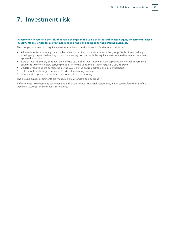# 7. Investment risk

### Investment risk refers to the risk of adverse changes in the value of listed and unlisted equity investments. These investments are longer-term investments held in the banking book for non-trading purposes.

The group's governance of equity investments is based on the following fundamental principles:

- All investments require approval by the relevant credit approval structures in the group. To this threshold any existing or prospective lending transactions are aggregated with the equity investment in determining whether approval is required.
- Exits of investments at, or above, the carrying value of an investments can be approved by internal governance structures. Any exits below carrying value or involving vendor facilitation require CLEC approval.
- Updated valuations are considered by the CLEC on the entire portfolio on a bi-annual basis.
- Risk mitigation strategies are considered on the existing investments.
- Continued emphasis on portfolio management and monitoring.

The group's equity investments are measured on a standardised approach.

Refer to Note 10 Investment Securities page 57 of the Annual Financial Statements, which can be found on Sasfin's website at www.sasfin.com/investor-relations.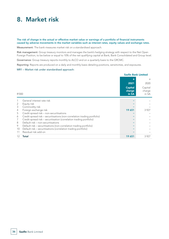### 8. Market risk

### The risk of change in the actual or effective market value or earnings of a portfolio of financial instruments caused by adverse movements in the market variables such as interest rates, equity values and exchange rates.

Measurement: The bank measures market risk on a standardised approach.

Risk management: Group treasury monitors and manages the bank's hedging strategy with respect to the Net Open Foreign Position, to be below or equal to 10% of the net qualifying capital at Bank, Bank Consolidated and Group level.

Governance: Group treasury reports monthly to ALCO and on a quarterly basis to the GRCMC.

Reporting: Reports are produced on a daily and monthly basis detailing positions, sensitivities, and exposures.

### MR1 – Market risk under standardised approach:

|       |                                                                          |                                   | <b>Sasfin Bank Limited</b> |  |
|-------|--------------------------------------------------------------------------|-----------------------------------|----------------------------|--|
|       |                                                                          | a                                 | a                          |  |
|       |                                                                          | 2021                              | 2020                       |  |
| R'000 |                                                                          | <b>Capital</b><br>charge<br>in SA | Capital<br>charge<br>in SA |  |
|       | General interest rate risk                                               |                                   |                            |  |
| 2     | Equity risk                                                              |                                   |                            |  |
| 3     | Commodity risk                                                           |                                   |                            |  |
| 4     | Foreign exchange risk                                                    | 19 651                            | 3 9 2 7                    |  |
| 5     | Credit spread risk - non-securitisations                                 |                                   |                            |  |
| 6     | Credit spread risk - securitisations (non-correlation trading portfolio) |                                   |                            |  |
| 7     | Credit spread risk - securitisation (correlation trading portfolio)      |                                   |                            |  |
| 8     | Default risk - non-securitisations                                       |                                   |                            |  |
| 9     | Default risk - securitisations (non-correlation trading portfolio)       |                                   |                            |  |
| 10    | Default risk - securitisations (correlation trading portfolio)           |                                   |                            |  |
| 11    | Residual risk add-on                                                     |                                   |                            |  |
| 12    | Total                                                                    | 19 651                            | 3927                       |  |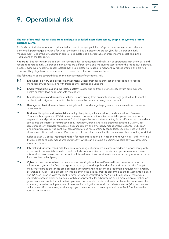# 9. Operational risk

### The risk of financial loss resulting from inadequate or failed internal processes, people, or systems or from external events.

Sasfin Group includes operational risk capital as part of the group's Pillar 1 Capital measurement using relevant benchmark percentages provided for under the Basel II Basic Indicator Approach (BIA) for Operational Risk measurement. Under the BIA approach capital is calculated as a percentage of gross income as defined in the Regulations of the Banks Act.

Reporting: Business unit management is responsible for identification and collation of operational risk event data and reporting to Group Risk. Operational risk events are differentiated and measuring according to their root cause (people, process, systems, or external causal factors). Key risk indicators are used to monitor key risks identified and are risk sensitive. They align to other risk measures to assess the effectiveness of controls.

The following risks are covered through the management of operational risk:

- 9.1. Execution, delivery and process management: Losses from failed transaction processing or process management, from relations with trade counterparties and vendors;
- 9.2. Employment practices and Workplace safety: Losses arising from acts inconsistent with employment, health or safety laws or agreements regulation;
- 9.3. Clients, products and business practices: Losses arising from an unintentional negligent failure to meet a professional obligation to specific clients, or from the nature or design of a product;
- 9.4. Damage to physical assets: Losses arising from loss or damage to physical assets from natural disaster or other events.
- 9.5. Business disruption and system failure: utility disruptions, software failures, hardware failures. Business Continuity Management (BCM) is a management process that identifies potential impacts that threaten an organisation and provides a framework for building resilience and the capability for an effective response which safeguards the interest of key stakeholders, reputation, brand, and value creating activities. BCM includes disaster recovery, business recovery, crisis management and emergency management/response. BCM is an ongoing process requiring continual assessment of business continuity capabilities. Each business unit has a documented Business Continuity Plan and operational risk ensures that this is maintained and regularly updated.

 Refer to page 70 of the Integrated Report for more information on "Responding to Covid-19" and "Revising the business continuity management strategy", which can be found on Sasfin's website at www.sasfin.com/ investor-relations.

- 9.6. Internal and External fraud risk: Includes a wide range of commercial crimes and deals predominantly with non-violent commercial crimes but could include non-compliance to policies and procedures, employee misconduct, harassment, and victimisation. Internal fraud involves at least one internal party whereas external fraud involves a third party.
- 9.7. Cyber risk: exposure to harm or financial loss resulting from internal/external breaches of or attacks on information systems. Sasfin's strategy includes a cyber roadmap that identifies and prioritises the Group's main cyber risks so that these are addressed timeously and effectively. The roadmap is regularly reviewed by assurance providers, and progress in implementing the priority areas is presented to the IT Committee, Board and PA every quarter. With the shift to remote work necessitated by the Covid-19 pandemic, there was a marked increase in cyber risk globally with higher potential for cyberattacks and a more complex technology governance and control structure to implement. Fortunately, the steps already implemented in terms of the roadmap, provided multiple layers of defence, including the use of virtual private network (VPN) and access point name (APN) technologies that deployed the same level of security available at Sasfin's offices to the remote environment.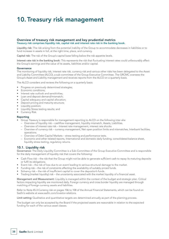# 10. Treasury risk management

### Overview of treasury risk management and key prudential metrics Treasury risk comprises liquidity risk, capital risk and interest rate risk in the banking book.

Liquidity risk: The risk arising from the potential inability of the Group to accommodate decreases in liabilities or to fund increase in assets in full, at the right time, place, and currency.

Capital risk: The risk of the Group's capital base falling below the risk appetite levels.

Interest rate risk in the banking book: This represents the risk that fluctuating interest rates could unfavourably affect the Group's earnings and the value of its assets, liabilities and/or capital.

### **Governance**

The monitoring of liquidity risk, interest rate risk, currency risk and various other risks has been delegated to the Asset and Liability Committee (ALCO), a sub-committee of the Group Executive Committee. The GRCMC oversees the Group's Asset and Liability management and receives reports from the ALCO on a quarterly basis.

The ALCO considers and reviews the following on a quarterly basis:

- Progress on previously determined strategies;
- Economic conditions;
- Interest rate outlook and sensitivities;
- Loan and deposit demand/mismatch;
- Capital adequacy and capital allocation;
- Deposit pricing and maturity structure;
- Liquidity position;
- Liquidity Stress testing results; and
- Currency Risk.

### Reporting

- Group Treasury is responsible for management reporting to ALCO on the following inter alia:
	- Overview of liquidity risk cashflow management, liquidity mismatch, Assets, Liabilities.
	- Overview of interest rate risk Interest rate management, interest rate shocks.
	- Overview of currency risk currency management, Net open position limits and mismatches, Interbank facilities, operations.
	- Overview of Debt Capital Markets stress testing and performance tests.
	- Economic and other related reports, International and domestic daily funding, consolidated balance sheet, liquidity stress testing, regulatory returns.

### 10.1. Liquidity risk

Governance: The Daily Liquidity Committee is a Sub-Committee of the Group Executive Committee and is responsible for the daily management of liquidity risk that covers the following:

- Cash Flow risk the risk that the Group might not be able to generate sufficient cash to repay its maturing deposits or fulfil its obligations.
- Event risk the risk of loss due to an event leading to serious structural damage to the market.
- Funding risk the risk of constraints affecting the availability of suitably priced funds.
- Solvency risk the risk of insufficient capital to cover the depositor's funds.
- Trading (market liquidity) risk the uncertainty associated with the market liquidity of a financial asset.

Management and Measurement: Liquidity is managed within the context of the budget and strategic plan. Critical factors impacting liquidity are monitored daily. Foreign currency and cross border liquidity are managed through matching of foreign currency assets and liabilities.

Refer to Note 45.3 Currency risk on pages 106 to 108 of the Annual Financial Statements, which can be found on Sasfin's website at www.sasfin.com/investor-relations.

Limit setting: Qualitative and quantitative targets are determined annually as part of the planning process.

The budget can only be accepted by the Board if the projected assets are reasonable in relation to the expected funding for each of the various asset classes.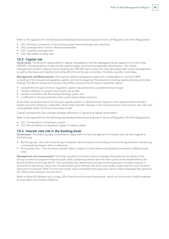Refer to the appendix for the following standardised disclosures required in terms of Regulation 43 of the Regulations:

- LR1: Summary comparison of accounting assets versus leverage ratio exposure
- LR2: Leverage ratio common disclosure template
- LQ1: Liquidity coverage ratio
- LQ2: Net stable funding ratio

### 10.2. Capital risk

Governance: The Board is responsible for capital management and has delegated certain aspects of its role to the GRCMC, including setting of appropriate capital targets and ensuring adequate capitalisation. The capital management function is governed primarily by the GRCMC that oversee the risks associated with capital management, as well as the Asset and Liability Committee (ALCO) and its sub-committee, the Daily Liquidity Committee.

Management and Measurement: The internal capital management approach is embedded in a formal ICAAP consisting of the Group's risk appetite, capital, and risk management frameworks (including capital planning and stress testing). The Board reviews the Group's risk profile to ensure that the level of available capital:

- exceeds the Group's minimum regulatory capital requirements by a predetermined margin;
- remains sufficient to support the Group's risk profile;
- remains consistent with the Group's strategic goals; and
- is sufficient to absorb potential losses under severe stress scenarios.

Stress tests are performed on the Group's capital position to determine the impact on the capital position should a severe economic downturn materialise. Stress tests consider changes in the macroeconomic environment, key risks, and vulnerabilities within the Group's business model.

Capital management also includes strategic allocation of capital and capital optimisation.

Refer to the appendix for the following standardised disclosures required in terms of Regulation 43 of the Regulations:

- CC1: Composition of regulatory capital
- CC2: Reconciliation of regulatory capital to balance sheet

### 10.3. Interest rate risk in the banking book

Governance: The Daily Liquidity Committee is responsible for the management of interest rate risk with regards to the following:

- Re-Pricing risk the cost to the Group of interest-rate fluctuations on funding and the time-lag between introducing compensating interest rates on advances.
- Pricing basis risk The risk where interest rates in respect of both assets and liabilities are linked to different base rates.

Management and measurement: The Daily Liquidity Committee selects strategies that optimise the ability of the Group to meet its long-term financial goals, while containing interest rate risk within policy limits established by the Board of Directors through ALCO. The committee also determines and reports the expected cumulative impact or sensitivity on the Group using a two hundred basis point interest rate shock and model a base case for a two hundred basis point movement. Both income and market value orientated techniques are used to select strategies that optimise the relationship between risk and return.

Refer to Note 45.2 Market risk on page 105 of the Annual Financial Statements, which can be found on Sasfin's website at www.sasfin.com/investor-relations.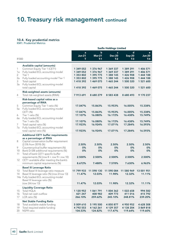# 10. Treasury risk management continued

### 10.4. Key prudential metrics

KM1: Prudential Metrics

|                                          |                                                                                                                                                                                                                                                                                                                                                                                            |                                                                            |                                                                            | <b>Sasfin Holdings Limited</b>                                             |                                                                            |                                                                          |
|------------------------------------------|--------------------------------------------------------------------------------------------------------------------------------------------------------------------------------------------------------------------------------------------------------------------------------------------------------------------------------------------------------------------------------------------|----------------------------------------------------------------------------|----------------------------------------------------------------------------|----------------------------------------------------------------------------|----------------------------------------------------------------------------|--------------------------------------------------------------------------|
| R'000                                    |                                                                                                                                                                                                                                                                                                                                                                                            | a<br><b>Jun-21</b><br>т                                                    | $\mathbf b$<br><b>Mar-21</b><br>T-1                                        | c<br><b>Dec-20</b><br>T-2                                                  | d<br><b>Sep-20</b><br>Т-3                                                  | е<br><b>Jun-20</b><br>T-4                                                |
| $\mathbf{1}$<br>1a<br>2<br>2a<br>3<br>3a | Available capital (amounts)<br>Common Equity Tier 1 (CET1)<br>Fully loaded ECL accounting model<br>Tier 1<br>Fully loaded accounting model Tier 1<br>Total capital<br>Fully loaded ECL accounting model<br>total capital                                                                                                                                                                   | 1 349 052<br>1 349 052<br>1 353 802<br>1 353 802<br>1 418 392<br>1 418 392 | 1 376 967<br>1 376 967<br>1 395 775<br>1 395 775<br>1 469 075<br>1 469 075 | 1 369 337<br>1 369 337<br>1 388 145<br>1 388 145<br>1 465 244<br>1 465 244 | 1 389 291<br>1 389 291<br>1 426 908<br>1 426 908<br>1 500 320<br>1 500 320 | 1 406 571<br>1 406 571<br>1444 188<br>1444 188<br>1 521 600<br>1 521 600 |
| 4                                        | Risk-weighted assets (amounts)<br>Total risk-weighted assets (RWA)                                                                                                                                                                                                                                                                                                                         | 7 913 691                                                                  | 8 680 279                                                                  | 8 583 438                                                                  | 8 680 493                                                                  | 9 170 237                                                                |
| 5<br>5a<br>6<br>6a<br>7<br>7a            | Risk-based capital ratios as a<br>percentage of RWA<br>Common Equity Tier 1 ratio (%)<br>Fully loaded ECL accounting model<br>CET1 (%)<br>Tier 1 ratio (%)<br>Fully loaded ECL accounting model<br>Tier 1 ratio (%)<br>Total capital ratio (%)<br>Fully loaded ECL accounting model<br>total capital ratio (%)                                                                             | 17.047%<br>17.047%<br>17.107%<br>17.107%<br>17.923%<br>17.923%             | 15.863%<br>15.863%<br>16.080%<br>16.080%<br>16.924%<br>16.924%             | 15.953%<br>15.953%<br>16.172%<br>16.172%<br>17.071%<br>17.071%             | 16.005%<br>16.005%<br>16.438%<br>16.438%<br>17.284%<br>17.284%             | 15.338%<br>15.338%<br>15.749%<br>15.749%<br>16.593%<br>16.593%           |
| $\,8\,$<br>9<br>10<br>11<br>12           | Additional CET1 buffer requirements<br>as a percentage of RWA<br>Capital conservation buffer requirement<br>(2.5% from 2019) (%)<br>Countercyclical buffer requirement (%)<br>Bank D-SIB additional requirements (%)<br>Total of bank CET1 specific buffer<br>requirements (%) (row $8 +$ row $9 +$ row 10)<br>CET1 available after meeting the bank's<br>minimum capital requirements (%) | 2.50%<br>0%<br>0%<br>2.500%<br>8.672%                                      | 2.50%<br>0%<br>0%<br>2.500%<br>7.488%                                      | 2.50%<br>0%<br>0%<br>2.500%<br>7.578%                                      | 2.50%<br>0%<br>0%<br>2.500%<br>7.630%                                      | 2.50%<br>0%<br>0%<br>2.500%<br>6.963%                                    |
| 13<br>14                                 | <b>Basel III Leverage Ratio</b><br>Total Basel III leverage ratio measure<br>Basel III leverage ratio (%) (row 2/row 13)<br>14a Fully loaded ECL accounting model<br>Basel III leverage ratio (%)<br>(row 2A/row 13)                                                                                                                                                                       | 11 799 933<br>11.47%<br>11.47%                                             | 11 598 130<br>12.03%<br>12.03%                                             | 11 590 084<br>11.98%<br>11.98%                                             | 11 580 969<br>12.32%<br>12.32%                                             | 13 001 951<br>11.11%<br>11.11%                                           |
| 15<br>16<br>17                           | <b>Liquidity Coverage Ratio</b><br>Total HOLA<br>Total net cash outflow<br>LCR ratio (%)                                                                                                                                                                                                                                                                                                   | 1 120 952<br>421 247<br>266.10%                                            | 1 061 791<br>408 982<br>259.62%                                            | 1 004 362<br>409 773<br>245.10%                                            | 1 022 658<br>411 016<br>248.81%                                            | 994 582<br>415 792<br>239.20%                                            |
| 18<br>19<br>20                           | Net Stable Funding Ratio<br>Total available stable funding<br>Total required stable funding<br>NSFR ratio                                                                                                                                                                                                                                                                                  | 5 009 610<br>4792553<br>104.53%                                            | 5 195 500<br>4 162 261<br>124.82%                                          | 4 850 877<br>4 129 357<br>117.47%                                          | 4 950 952<br>4 138 204<br>119.64%                                          | 4 628 308<br>3 869 818<br>119.60%                                        |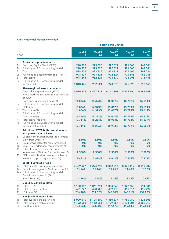### KM1: Prudential Metrics continued

|         |                                                              | <b>Sasfin Bank Limited</b> |                             |                             |                                       |                             |
|---------|--------------------------------------------------------------|----------------------------|-----------------------------|-----------------------------|---------------------------------------|-----------------------------|
| R'000   |                                                              | a<br><b>Jun-21</b>         | b<br><b>Mar-21</b><br>$T-1$ | c<br><b>Dec-20</b><br>$T-2$ | $\mathbf d$<br><b>Sep-20</b><br>$T-3$ | e<br><b>Jun-20</b><br>$T-4$ |
|         | Available capital (amounts)                                  |                            |                             |                             |                                       |                             |
| 1       | Common Equity Tier 1 (CET1)                                  | 998 377                    | 923 825                     | 922 327                     | 921 665                               | 962 086                     |
| 1a      | Fully loaded ECL accounting model                            | 998 377                    | 923 825                     | 922 327                     | 921 665                               | 962086                      |
| 2       | Tier 1                                                       | 998 377                    | 923 825                     | 922 327                     | 921 665                               | 962 086                     |
| 2a      | Fully loaded accounting model Tier 1                         | 998 377                    | 923 825                     | 922 327                     | 921 665                               | 962 086                     |
| 3       | Total capital                                                | 1 048 445                  | 982 524                     | 978 570                     | 976 095                               | 1 018 455                   |
| 3a      | Fully loaded ECL accounting model                            |                            |                             |                             |                                       |                             |
|         | total capital                                                | 1 048 445                  | 982 524                     | 978 570                     | 976 095                               | 1 018 155                   |
|         | Risk-weighted assets (amounts)                               |                            |                             |                             |                                       |                             |
| 4       | Total risk-weighted assets (RWA)                             | 5 919 606                  | 6 427 727                   | 6 141 893                   | 5 833 794                             | 6 161 568                   |
|         | Risk-based capital ratios as a percentage<br>of RWA          |                            |                             |                             |                                       |                             |
| 5       | Common Equity Tier 1 ratio (%)                               | 16.866%                    | 14.373%                     | 15.017%                     | 15.799%                               | 15.614%                     |
| 5a      | Fully loaded ECL accounting model                            |                            |                             |                             |                                       |                             |
|         | CET1 (%)                                                     | 16.866%                    | 14.373%                     | 15.017%                     | 15.799%                               | 15.614%                     |
| 6       | Tier 1 ratio (%)                                             | 16.866%                    | 14.373%                     | 15.017%                     | 15.799%                               | 15.614%                     |
| 6a      | Fully loaded ECL accounting model                            |                            |                             |                             |                                       |                             |
|         | Tier 1 ratio (%)                                             | 16.866%                    | 14.373%                     | 15.017%                     | 15.799%                               | 15.614%                     |
| 7<br>7a | Total capital ratio (%)<br>Fully loaded ECL accounting model | 17.711%                    | 15.286%                     | 15.933%                     | 16.732%                               | 16.529%                     |
|         | total capital ratio (%)                                      | 17.711%                    | 15.286%                     | 15.933%                     | 16.732%                               | 16.529%                     |
|         | Additional CET1 buffer requirements                          |                            |                             |                             |                                       |                             |
|         | as a percentage of RWA                                       |                            |                             |                             |                                       |                             |
| 8       | Capital conservation buffer requirement                      |                            |                             |                             |                                       |                             |
|         | (2.5% from 2019) (%)                                         | 2.50%                      | 2.50%                       | 2.50%                       | 2.50%                                 | 2.50%                       |
| 9       | Countercyclical buffer requirement (%)                       | 0%                         | 0%                          | 0%                          | 0%                                    | 0%                          |
| 10      | Bank D-SIB additional requirements (%)                       | 0%                         | 0%                          | 0%                          | 0%                                    | 0%                          |
| 11      | Total of bank CET1 specific buffer                           |                            |                             |                             |                                       |                             |
|         | requirements (%) (row $8 +$ row $9 +$ row 10)                | 2.500%                     | 2.500%                      | 2.500%                      | 2.500%                                | 2.500%                      |
| 12      | CET1 available after meeting the bank's                      |                            |                             |                             |                                       |                             |
|         | minimum capital requirements (%)                             | 8.491%                     | 5.998%                      | 6.642%                      | 7.424%                                | 7.239%                      |
|         | <b>Basel III Leverage Ratio</b>                              |                            |                             |                             |                                       |                             |
| 13      | Total Basel III leverage ratio measure                       | 8 489 027                  | 8 294 798                   | 8 0 5 2 5 1 6               | 8 0 29 119                            | 8 8 10 8 0 9                |
| 14      | Basel III leverage ratio (%) (row 2/row 13)                  | 11.76%                     | 11.14%                      | 11.45%                      | 11.48%                                | 10.92%                      |
|         | 14a Fully loaded ECL accounting model                        |                            |                             |                             |                                       |                             |
|         | Basel III leverage ratio (%)                                 |                            |                             |                             |                                       |                             |
|         | (row 2A/row 13)                                              | 11.76%                     | 11.14%                      | 11.45%                      | 11.48%                                | 10.92%                      |
|         | <b>Liquidity Coverage Ratio</b>                              |                            |                             |                             |                                       |                             |
| 15      | Total HQLA                                                   | 1 120 952                  | 1 061 791                   | 1 004 362                   | 1 022 658                             | 994 581                     |
| 16      | Total net cash outflow                                       | 421 247                    | 408 982                     | 409 773                     | 411 016                               | 415 792                     |
| 17      | LCR ratio (%)                                                | 266.10%                    | 259.62%                     | 245.10%                     | 248.81%                               | 239.20%                     |
|         | <b>Net Stable Funding Ratio</b>                              |                            |                             |                             |                                       |                             |
| 18      | Total available stable funding                               | 5 009 610                  | 5 195 500                   | 4 8 5 0 8 7 7               | 4 950 952                             | 4 628 308                   |
| 19      | Total required stable funding                                | 4 792 553                  | 4 162 261                   | 4 129 357                   | 4 138 204                             | 3 869 818                   |
| 20      | NSFR ratio (%)                                               | 104.53%                    | 124.82%                     | 117.47%                     | 119.64%                               | 119.60%                     |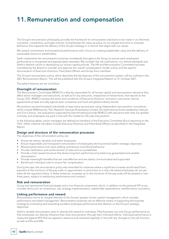# 11.Remuneration and compensation

The Group's remuneration philosophy provides the framework for remuneration decisions to be made in an informed, consistent, competitive, and agile manner. It emphasises the value we place on our people and aims to motivate behaviour that supports the delivery of the Group's strategy in a manner that aligns with our values.

We reward commitment and exceptional performance with a focus on creating stakeholder value and the delivery of sustainable returns to stakeholders.

Sasfin implements fair remuneration practices consistently throughout the Group to ensure each employee's performance is recognised and appropriately rewarded. We consider the risk implications, our ethical standards and Sasfin's desired culture in developing our human capital policies. The HR and Remuneration Committee has been mandated by the Board to consider and approve the overall compensation model, policy, and the specific remuneration of Executive Directors, Prescribed Officers and Group Exco members.

The Group's remuneration policy, which describes the key features of the remuneration system, will be outlined in the 2021 Remuneration Report. This will be published with the Group's Integrated Report on 31 October 2021.

The salient features are set out below:

### Oversight of remuneration

The Remuneration Committee (REMCO) is directly responsible for all human capital and remuneration decisions that affect senior managers and executives, as well as for any executive, irrespective of reward level, that reports to the Group CEO. REMCO reviews the terms and conditions of Executive Directors' and senior executives' service agreements at least annually against peer companies and local and global industry trends.

All positions are benchmarked individually at least every second year using independent remuneration consultants, which include REMchannel, PwC Research Services (Proprietary) Limited, the International Zonal Leadership Institute and 21st Century. Job evaluations supported by benchmarking provide REMCO with assurance that roles are graded correctly, and employees are paid in line with the market for the jobs they perform.

In the following tables, senior managers are defined as members of the Executive Committee (Exco) reporting to the CEO. Other material risk takers include Executive Directors and Prescribed Officers as described in the Integrated Report.

### Design and structure of the remuneration processes

The objectives of the remuneration policy are:

- Ensure we attract, develop and retain employees
- Ensure responsible and transparent remuneration of employees which promote Sasfin's strategic objectives
- Reward performance and value-adding contributors and ethical behaviour
- Provide clarification and reinforcement of roles and accountabilities
- Provide a total reward structure that drives long-term performance by balancing guaranteed and variable remuneration
- Provide meaningful benefits that are cost-effective and are clearly communicated and supported
- Benchmark individual roles to ensure fair compensation

During the year, the remuneration policy was amended for instances where a significant increase would result from payment at the minimum of the pay scale on appointment or promotion to a new role where employees do not yet meet all the required criteria. In these instances, increases up to the minimum of the pay scale will be phased in over three years, subject to satisfactory performance and conduct.

### Risk and remuneration

Group and operational financial targets and a non-financial component, which, in addition to the personal KPI score, includes items such as compliance, risk, strategy implementation, stakeholder expectations, transformation and ethics.

### Linking performance and reward

Remuneration forms an integral element of the Group's greater human capital management, which includes performance and talent management. Remuneration practices are an effective means of supporting the business strategy by motivating and rewarding excellent employee performance that delivers on the Group's strategic objectives.

Sasfin's variable remuneration aims to directly link reward to individual, Pillar/business unit and Group performance so that employees can directly influence their total remuneration through their individual efforts. Individual performance is measured against KPIs that are agreed in advance and reviewed regularly, in line with any changes to the job function, as well as KVIs and KRIs.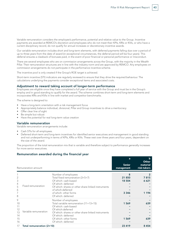Variable remuneration considers the employee's performance, potential and relative value to the Group. Incentive payments are awarded at REMCO's discretion and employees who do not meet their KPIs, KRIs or KVIs, or who have a current disciplinary record, do not qualify for annual increases or discretionary incentive awards.

Our variable remuneration includes short and long-term elements, with deferred payments falling due over a period of up to three years from the date of award (in exceptional circumstances, the deferral period will be four years). This deferral ensures a clawback of bonuses paid, in the event of poor financial or personal performance or misconduct.

There are several employees who are on commission arrangements across the Group, with the majority in the Wealth Pillar. Their remuneration structures are in line with the industry norm and are approved by REMCO. Any employees on commission arrangements do not participate in the performance incentive scheme.

The incentive pool is only created if the Group's ROE target is achieved.

Short-term incentive (STI) indicators are regularly reviewed to ensure that they drive the required behaviour. The calculations underlying the payments consider exceptional items and associated costs.

### Adjustment to reward taking account of longer-term performance

Employees are eligible once they have completed a full year of service with the Group and must be in the Group's employ and in good standing to qualify for the award. The scheme combines short-term and long-term elements and incorporates KRIs and KVIs in line with market and competitor benchmarks.

The scheme is designed to:

- Have a long-term orientation with a risk management focus
- Appropriately balance individual, divisional, Pillar and Group incentives to drive a meritocracy
- Offer clear line of sight
- Be simple but robust
- Have the potential for real long-term value creation

### Variable remuneration

Variable remuneration arrangements include:

- Cash STIs for all employees.
- Deferred short-term and long-term incentives for identified senior executives and management in good standing and not underperforming in terms of KPIs, KRIs or KVIs. These vest over three years and four years, dependent on the size of the award.

The proportion of the total remuneration mix that is variable and therefore subject to performance generally increases for more senior executives.

### Remuneration awarded during the financial year

|                                             | Remuneration amount       |                                                                                                                                                                                                                                        | a<br><b>Senior</b><br>management | b<br>Other<br>material<br>risk-takers |
|---------------------------------------------|---------------------------|----------------------------------------------------------------------------------------------------------------------------------------------------------------------------------------------------------------------------------------|----------------------------------|---------------------------------------|
| 2<br>3<br>4<br>5<br>6<br>7<br>8             | Fixed remuneration        | Number of employees<br>Total fixed remuneration (3+5+7)<br>Of which: cash-based<br>Of which: deferred<br>Of which: shares or other share-linked instruments<br>of which: deferred<br>of which: other forms<br>Of which: deferred       | 8<br>21 850<br>18 504<br>3 3 4 6 | 7815<br>6 6 21<br>1 1 9 4             |
| 9<br>10<br>11<br>12<br>13<br>14<br>15<br>16 | Variable remuneration     | Number of employees<br>Total variable remuneration (11+13+15)<br>Of which: cash-based<br>Of which: deferred<br>Of which: shares or other share-linked instruments<br>Of which: deferred<br>Of which: other forms<br>Of which: deferred | 1 569<br>1 569                   | 639<br>639                            |
| 17                                          | Total remuneration (2+10) |                                                                                                                                                                                                                                        | 23 4 19                          | 8 4 5 4                               |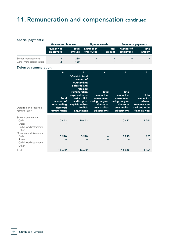# 11.Remuneration and compensation continued

### Special payments:

|                                                 | <b>Guaranteed bonuses</b> |                        | Sign-on awards         |                        | <b>Severance payments</b> |                        |
|-------------------------------------------------|---------------------------|------------------------|------------------------|------------------------|---------------------------|------------------------|
|                                                 | Number of<br>employees    | <b>Total</b><br>amount | Number of<br>employees | <b>Total</b><br>amount | Number of<br>employees    | <b>Total</b><br>amount |
| Senior management<br>Other material risk-takers |                           | 1 2 8 0<br>120         | -<br>-                 |                        |                           |                        |

### Deferred remuneration:

|                                       | a                                                    | $\mathbf b$                                                                                                               | $\mathbf{C}$                                                                             | d                                         | e                                                             |
|---------------------------------------|------------------------------------------------------|---------------------------------------------------------------------------------------------------------------------------|------------------------------------------------------------------------------------------|-------------------------------------------|---------------------------------------------------------------|
|                                       | <b>Total</b>                                         | Of which: Total<br>amount of<br>outstanding<br>deferred and<br>retained<br>remuneration<br>exposed to ex<br>post explicit | <b>Total</b><br>amount of<br>amendment                                                   | <b>Total</b><br>amount of<br>amendment    | <b>Total</b><br>amount of                                     |
| Deferred and retained<br>remuneration | amount of<br>outstanding<br>deferred<br>remuneration | explicit and/or<br>implicit<br>adjustment                                                                                 | and/or post during the year during the year<br>due to ex<br>post explicit<br>adjustments | due to ex<br>post implicit<br>adjustments | deferred<br>remuneration<br>paid out in the<br>financial year |
| Senior management                     |                                                      |                                                                                                                           |                                                                                          |                                           |                                                               |
| Cash                                  | 10 442                                               | 10 442                                                                                                                    |                                                                                          | 10 442                                    | 1 2 4 1                                                       |
| <b>Shares</b>                         |                                                      |                                                                                                                           |                                                                                          |                                           |                                                               |
| Cash-linked instruments               |                                                      |                                                                                                                           |                                                                                          |                                           |                                                               |
| Other                                 |                                                      |                                                                                                                           |                                                                                          |                                           |                                                               |
| Other material risk-takers            |                                                      |                                                                                                                           |                                                                                          |                                           |                                                               |
| Cash                                  | 3 9 9 0                                              | 3 9 9 0                                                                                                                   |                                                                                          | 3 9 9 0                                   | 120                                                           |
| <b>Shares</b>                         |                                                      |                                                                                                                           |                                                                                          |                                           |                                                               |
| Cash-linked instruments               |                                                      |                                                                                                                           |                                                                                          |                                           |                                                               |
| Other                                 |                                                      |                                                                                                                           |                                                                                          |                                           |                                                               |
| Total                                 | 14 4 32                                              | 14 4 32                                                                                                                   |                                                                                          | 14 4 32                                   | 1 3 6 1                                                       |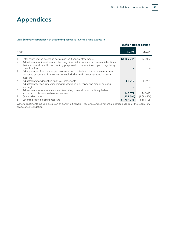# Appendices

### LR1: Summary comparison of accounting assets vs leverage ratio exposure

|        |                                                                                                                                                                                                                                                              | <b>Sasfin Holdings Limited</b> |                         |
|--------|--------------------------------------------------------------------------------------------------------------------------------------------------------------------------------------------------------------------------------------------------------------|--------------------------------|-------------------------|
| R'000  |                                                                                                                                                                                                                                                              | <b>Jun-21</b>                  | $Mar-21$                |
| 1<br>2 | Total consolidated assets as per published financial statements<br>Adjustments for investments in banking, financial, insurance or commercial entities<br>that are consolidated for accounting purposes but outside the scope of regulatory<br>consolidation | 12 155 244                     | 12 474 050              |
| 3      | Adjustment for fiduciary assets recognised on the balance sheet pursuant to the<br>operative accounting framework but excluded from the leverage ratio exposure<br>measure                                                                                   |                                |                         |
| 4<br>5 | Adjustments for derivative financial instruments<br>Adjustment for securities financing transactions (i.e., repos and similar secured<br>lending)                                                                                                            | 59 213                         | 64 941                  |
| 6      | Adjustments for off-balance sheet items (i.e., conversion to credit equivalent<br>amounts of off-balance sheet exposures)                                                                                                                                    | 140 072                        | 142 693                 |
| 7<br>8 | Other adjustments<br>Leverage ratio exposure measure                                                                                                                                                                                                         | (554 596)<br>11 799 933        | (1083556)<br>11 598 128 |

Other adjustments include exclusion of banking, financial, insurance and commercial entities outside of the regulatory scope of consolidation.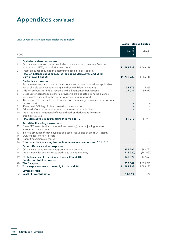# Appendices continued

### LR2: Leverage ratio common disclosure template

|                                  |                                                                                                                                                                                                                                                                                                                                                                                                                                                                                                                                                                                                                                                                                                                                                                         |                                          | <b>Sasfin Holdings Limited</b>            |  |  |
|----------------------------------|-------------------------------------------------------------------------------------------------------------------------------------------------------------------------------------------------------------------------------------------------------------------------------------------------------------------------------------------------------------------------------------------------------------------------------------------------------------------------------------------------------------------------------------------------------------------------------------------------------------------------------------------------------------------------------------------------------------------------------------------------------------------------|------------------------------------------|-------------------------------------------|--|--|
| R'000                            |                                                                                                                                                                                                                                                                                                                                                                                                                                                                                                                                                                                                                                                                                                                                                                         | a<br><b>Jun-21</b><br>т                  | b<br>Mar-21<br>$T-1$                      |  |  |
| 1<br>2<br>3                      | On-balance sheet exposures<br>On-balance sheet exposures (excluding derivatives and securities financing<br>transactions (SFTs), but including collateral)<br>(Asset amounts deducted in determining Basel III Tier 1 capital)<br>Total on-balance sheet exposures (excluding derivatives and SFTs)                                                                                                                                                                                                                                                                                                                                                                                                                                                                     | 11 799 933                               | 11 666 118                                |  |  |
| 4<br>5<br>6<br>7<br>8<br>9<br>10 | (sum of row 1 and 2)<br><b>Derivative exposures</b><br>Replacement cost associated with all derivatives transactions (where applicable<br>net of eligible cash variation margin and/or with bilateral netting)<br>Add-on amounts for PFE associated with all derivatives transactions<br>Gross-up for derivatives collateral provide where deducted from the balance<br>sheet assets pursuant to the operative accounting framework<br>(Deductions of receivable assets for cash variation margin provided in derivatives<br>transactions)<br>(Exempted CCP leg of client-cleared trade exposures)<br>Adjusted effective notional amount of written credit derivatives<br>(Adjusted effective notional offsets and add-on deductions for written<br>credit derivatives) | 11 799 933<br>32 175<br>27 037<br>59 213 | 11 666 118<br>5 2 6 5<br>59 677<br>64 941 |  |  |
| 11<br>12<br>13<br>14<br>15<br>16 | Total derivative exposures (sum of rows 4 to 10)<br><b>Securities financing transactions</b><br>Gross SFT assets (with no recognition of netting), after adjusting for sale<br>accounting transactions<br>(Netted amounts of cash payables and cash receivables of gross SFT assets)<br>CCR exposure for SFT assets<br>Agent transaction exposures<br>Total securities financing transaction exposures (sum of rows 12 to 15)                                                                                                                                                                                                                                                                                                                                           |                                          |                                           |  |  |
| 17<br>18                         | Other off-balance sheet exposures<br>Off-balance sheet exposure at gross notional amount<br>(Adjustments for conversion to credit equivalent amounts)                                                                                                                                                                                                                                                                                                                                                                                                                                                                                                                                                                                                                   | 856 292<br>(716 220)                     | 883720<br>(741027)                        |  |  |
| 19<br>20<br>21                   | Off-balance sheet items (sum of rows 17 and 18)<br>Capital and total exposures<br>Tier 1 capital<br>Total exposures (sum of rows 3, 11, 16 and 19)                                                                                                                                                                                                                                                                                                                                                                                                                                                                                                                                                                                                                      | 140 072<br>1 353 802<br>11 799 933       | 142 693<br>1 395 775<br>11 598 130        |  |  |
| 22                               | Leverage ratio<br><b>Basel III leverage ratio</b>                                                                                                                                                                                                                                                                                                                                                                                                                                                                                                                                                                                                                                                                                                                       | 11.47%                                   | 12.03%                                    |  |  |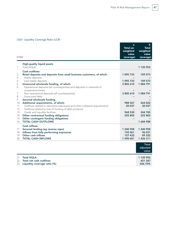### LIQ1: Liquidity Coverage Ratio (LCR)

| R'000                                                                          |                                                                                                                                                                                                                                                                                                                                                                                                                                                                                                                                                                                                                                                                                                         | a<br>Total un-<br>weighted<br>value<br>(average)                                            | $\mathbf b$<br><b>Total</b><br>weighted<br>value<br>(average)                                      |
|--------------------------------------------------------------------------------|---------------------------------------------------------------------------------------------------------------------------------------------------------------------------------------------------------------------------------------------------------------------------------------------------------------------------------------------------------------------------------------------------------------------------------------------------------------------------------------------------------------------------------------------------------------------------------------------------------------------------------------------------------------------------------------------------------|---------------------------------------------------------------------------------------------|----------------------------------------------------------------------------------------------------|
| 1                                                                              | <b>High-quality liquid assets</b><br><b>Total HOLA</b>                                                                                                                                                                                                                                                                                                                                                                                                                                                                                                                                                                                                                                                  |                                                                                             | 1 120 952                                                                                          |
| 2<br>3<br>4<br>5<br>6<br>7<br>8<br>9<br>10<br>11<br>12<br>13<br>14<br>15<br>16 | Cash outflows<br>Retail deposits and deposits from small business customers, of which:<br>Stable deposits<br>Less stable deposits<br>Unsecured wholesale funding, of which:<br>Operational deposits (all counterparties) and deposits in networks of<br>cooperative banks<br>Non-operational deposits (all counterparties)<br>Unsecured debt<br>Secured wholesale funding<br>Additional requirements, of which:<br>Outflows related to derivative exposures and other collateral requirements<br>Outflows related to loss of funding of debt products<br>Credit and liquidity facilities<br>Other contractual funding obligations<br>Other contingent funding obligations<br><b>TOTAL CASH OUTFLOWS</b> | 1 095 733<br>1 095 733<br>3 805 610<br>3 805 610<br>988 567<br>20 037<br>968 530<br>225 802 | 109 573<br>109 573<br>1 084 791<br>1 084 791<br>264 822<br>20 037<br>244 785<br>225 802<br>1684988 |
| 17<br>18<br>19<br>20                                                           | Cash inflows<br>Secured lending (eg reverse repo)<br>Inflows from fully performing exposures<br>Other cash inflows<br><b>TOTAL CASH INFLOWS</b>                                                                                                                                                                                                                                                                                                                                                                                                                                                                                                                                                         | 1 240 958<br>192 061<br>157 432<br>1 590 451                                                | 1 240 958<br>96 031<br>89 322<br>1 426 311<br>Total<br>adjusted<br>value                           |
| 21<br>22<br>23                                                                 | <b>Total HQLA</b><br>Total net cash outflows<br>Liquidity coverage ratio (%)                                                                                                                                                                                                                                                                                                                                                                                                                                                                                                                                                                                                                            |                                                                                             | 1 120 952<br>421 247<br>266.10%                                                                    |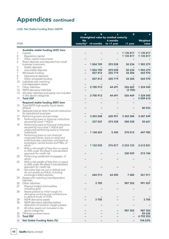# Appendices continued

### LIQ2: Net Stable Funding Ratio (NSFR)

|                     |                                                                                    | $\mathbf d$<br>b.<br>a<br>c<br>Unweighted value by residual maturity |                       |                    |                  | e                  |
|---------------------|------------------------------------------------------------------------------------|----------------------------------------------------------------------|-----------------------|--------------------|------------------|--------------------|
|                     |                                                                                    | <b>No</b>                                                            |                       | 6 months           |                  | Weighted           |
| R'000               |                                                                                    |                                                                      | maturity* $<6$ months | to $<$ 1 year      | $\geq$ 1 year    | value              |
|                     | Available stable funding (ASF) item                                                |                                                                      |                       |                    |                  |                    |
| 1                   | Capital:                                                                           |                                                                      |                       |                    | 1 135 817        | 1 135 817          |
| $\overline{2}$<br>3 | Regulatory capital<br>Other capital instruments                                    |                                                                      |                       |                    | 1 135 817        | 1 135 817          |
| 4                   | Retail deposits and deposits from small                                            |                                                                      |                       |                    |                  |                    |
|                     | business customers:                                                                |                                                                      | 1854789               | 293 038            | 50 234           | 1983279            |
| 5                   | Stable deposits                                                                    |                                                                      |                       |                    |                  |                    |
| 6<br>$\overline{7}$ | Less stable deposits<br>Wholesale funding:                                         |                                                                      | 1854789<br>837812     | 293 038<br>225 719 | 50 234<br>34 204 | 1983279<br>565 970 |
| 8                   | Operational deposits                                                               |                                                                      |                       |                    |                  |                    |
| 9                   | Other wholesale funding                                                            |                                                                      | 837 812               | 225 719            | 34 204           | 565 970            |
| 10                  | Liabilities with matching<br>interdependent assets                                 |                                                                      |                       |                    |                  |                    |
| 11                  | Other liabilities:                                                                 |                                                                      | 2 700 912             | 44 691             | 526 469          | 1 324 545          |
| 12                  | NSFR derivative liabilities                                                        |                                                                      |                       |                    | (3705)           |                    |
| 13                  | All other liabilities and equity not included<br>in the above categories           |                                                                      | 2 700 912             | 44 691             | 526 469          | 1 324 545          |
| 14                  | <b>Total ASF</b>                                                                   |                                                                      |                       |                    |                  | 5 009 610          |
|                     | Required stable funding (RSF) item                                                 |                                                                      |                       |                    |                  |                    |
| 15                  | Total NSFR high-quality liquid assets                                              |                                                                      |                       |                    |                  |                    |
|                     | (HQLA)                                                                             |                                                                      |                       |                    |                  | 80 933             |
| 16                  | Deposits held at other financial institutions<br>for operational purposes          |                                                                      |                       |                    |                  |                    |
| 17                  | Performing loans and securities:                                                   |                                                                      | 3 203 248             | 620 951            | 3 342 284        | 3 687 549          |
| 18                  | Performing loans to financial institutions                                         |                                                                      | 237 547               | 274 338            | 500 538          | 50 621             |
| 19                  | secured by Level 1 HQLA<br>Performing loans to financial institutions              |                                                                      |                       |                    |                  |                    |
|                     | secured by non-Level 1 HQLA and                                                    |                                                                      |                       |                    |                  |                    |
|                     | unsecured performing loans to financial<br>institutions                            |                                                                      | 1 168 653             | 5 3 4 5            | 270 012          | 447 982            |
| 20                  | Performing loans to non-financial                                                  |                                                                      |                       |                    |                  |                    |
|                     | corporate clients, loans to retail and                                             |                                                                      |                       |                    |                  |                    |
|                     | small business customers, and loans to<br>sovereigns, central banks and PSEs, of   |                                                                      |                       |                    |                  |                    |
|                     | which:                                                                             |                                                                      | 1 152 535             | 276817             | 2 2 3 1 2 3      | 2 612 831          |
| 21                  | With a risk weight of less than or equal<br>to 35% under the Basel II standardised |                                                                      |                       |                    |                  |                    |
|                     | approach for credit risk                                                           |                                                                      |                       |                    | 330 929          | 215 104            |
| 22                  | Performing residential mortgages, of                                               |                                                                      |                       |                    |                  |                    |
| 23                  | which:<br>With a risk weight of less than or equal                                 |                                                                      |                       |                    |                  |                    |
|                     | to 35% under the Basel II standardised                                             |                                                                      |                       |                    |                  |                    |
| 24                  | approach for credit risk<br>Securities that are not in default and                 |                                                                      |                       |                    |                  |                    |
|                     | do not qualify as HQLA, including                                                  |                                                                      |                       |                    |                  |                    |
|                     | exchange-traded equities                                                           |                                                                      | 644 513               | 64 450             | 7682             | 361 011            |
| 25                  | Assets with matching interdependent<br>liabilities                                 |                                                                      |                       |                    |                  |                    |
| 26                  | Other liabilities:                                                                 |                                                                      | 3705                  |                    | 987 352          | 991 057            |
| 27                  | Physical traded commodities,                                                       |                                                                      |                       |                    |                  |                    |
| 28                  | including gold<br>Assets posted as initial margin for                              |                                                                      |                       |                    |                  |                    |
|                     | derivative contracts and contributions                                             |                                                                      |                       |                    |                  |                    |
|                     | to default funds of CCPs                                                           |                                                                      |                       |                    |                  |                    |
| 29<br>30            | NSFR derivative assets<br>NSFR derivative liabilities before                       |                                                                      | 3705                  |                    |                  | 3705               |
|                     | deduction of variation margin posted                                               |                                                                      |                       |                    |                  |                    |
| 31                  | All other assets not included in the<br>above categories                           |                                                                      |                       |                    | 987 352          | 987 352            |
| 32                  | Off-balance sheet items                                                            |                                                                      |                       |                    |                  | 83 636             |
| 33                  | <b>Total RSF</b>                                                                   |                                                                      |                       |                    |                  | 4792553            |
| 34                  | Net Stable Funding Ratio (%)                                                       |                                                                      |                       |                    |                  | 104.53%            |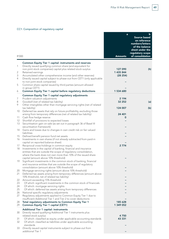### CC1: Composition of regulatory capital

| R'000                                   |                                                                                                                                                                                                                                                                                                                                                                                                                                                                                                                                       | a<br><b>Amounts</b>                           | b.<br><b>Source based</b><br>on reference<br>numbers/letters<br>of the balance<br>sheet under the<br>regulatory scope<br>of consolidation |
|-----------------------------------------|---------------------------------------------------------------------------------------------------------------------------------------------------------------------------------------------------------------------------------------------------------------------------------------------------------------------------------------------------------------------------------------------------------------------------------------------------------------------------------------------------------------------------------------|-----------------------------------------------|-------------------------------------------------------------------------------------------------------------------------------------------|
|                                         |                                                                                                                                                                                                                                                                                                                                                                                                                                                                                                                                       |                                               |                                                                                                                                           |
| 1<br>2<br>3<br>$\overline{4}$<br>5<br>6 | Common Equity Tier 1 capital: instruments and reserves<br>Directly issued qualifying common share (and equivalent for<br>non-joint stock companies) capital plus related stock surplus<br>Retained earnings<br>Accumulated other comprehensive income (and other reserves)<br>Directly issued capital subject to phase-out from CET1 (only applicable<br>to non-joint stock companies)<br>Common share capital issued by third parties (amount allowed<br>in group CET1)<br>Common Equity Tier 1 capital before regulatory deductions | 127 090<br>1 435 844<br>(28 254)<br>1 534 680 | (h)                                                                                                                                       |
|                                         | Common Equity Tier 1 capital regulatory adjustments                                                                                                                                                                                                                                                                                                                                                                                                                                                                                   |                                               |                                                                                                                                           |
| 7<br>8<br>9                             | Prudent valuation adjustments<br>Goodwill (net of related tax liability)<br>Other intangibles other than mortgage servicing rights (net of related                                                                                                                                                                                                                                                                                                                                                                                    | 2 1 9 4<br>32 252                             | (a)                                                                                                                                       |
|                                         | tax liability)                                                                                                                                                                                                                                                                                                                                                                                                                                                                                                                        | 124 007                                       | (b)                                                                                                                                       |
| 10<br>11<br>$12 \overline{ }$           | Deferred tax assets that rely on future profitability, excluding those<br>arising from temporary differences (net of related tax liability)<br>Cash flow hedge reserve<br>Shortfall of provisions to expected losses                                                                                                                                                                                                                                                                                                                  | 24 401<br>0                                   |                                                                                                                                           |
| 13                                      | Securitisation gain on sale (as set out in paragraph 36 of Basel III                                                                                                                                                                                                                                                                                                                                                                                                                                                                  |                                               |                                                                                                                                           |
| 14                                      | securitisation framework)<br>Gains and losses due to changes in own credit risk on fair valued<br>liabilities                                                                                                                                                                                                                                                                                                                                                                                                                         |                                               |                                                                                                                                           |
| 15                                      | Defined benefit pension fund net assets                                                                                                                                                                                                                                                                                                                                                                                                                                                                                               |                                               |                                                                                                                                           |
| 16                                      | Investments in own shares (if not already subtracted from paid-in<br>capital on reported balance sheet)                                                                                                                                                                                                                                                                                                                                                                                                                               |                                               |                                                                                                                                           |
| 17<br>18                                | Reciprocal cross-holdings in common equity<br>Investments in the capital of banking, financial and insurance<br>entities that are outside the scope of regulatory consolidation,<br>where the bank does not own more than 10% of the issued share<br>capital (amount above 10% threshold)                                                                                                                                                                                                                                             | 2 7 7 4                                       |                                                                                                                                           |
| 19                                      | Significant investments in the common stock of banking, financial<br>and insurance entities that are outside the scope of regulatory                                                                                                                                                                                                                                                                                                                                                                                                  |                                               |                                                                                                                                           |
| 20<br>21                                | consolidation (amount above 10% threshold)<br>Mortgage servicing rights (amount above 10% threshold)<br>Deferred tax assets arising from temporary differences (amount above<br>10% threshold, net of related tax liability)                                                                                                                                                                                                                                                                                                          |                                               |                                                                                                                                           |
| 22<br>23                                | Amount exceeding 15% threshold<br>Of which: significant investments in the common stock of financials                                                                                                                                                                                                                                                                                                                                                                                                                                 |                                               |                                                                                                                                           |
| 24                                      | Of which: mortgage servicing rights                                                                                                                                                                                                                                                                                                                                                                                                                                                                                                   |                                               |                                                                                                                                           |
| 25<br>26                                | Of which: deferred tax assets arising from temporary differences<br>National specific regulatory adjustments                                                                                                                                                                                                                                                                                                                                                                                                                          |                                               |                                                                                                                                           |
| 27                                      | Regulatory adjustments applied to Common Equity Tier 1 due to                                                                                                                                                                                                                                                                                                                                                                                                                                                                         |                                               |                                                                                                                                           |
| 28<br>29                                | insufficient Additional Tier 1 and Tier 2 to cover deductions<br>Total regulatory adjustments to Common Equity Tier 1<br><b>Common Equity Tier 1 capital (CET1)</b>                                                                                                                                                                                                                                                                                                                                                                   | 185 628<br>1 349 052                          |                                                                                                                                           |
| 30                                      | Additional Tier 1 capital: instruments<br>Directly issued qualifying Additional Tier 1 instruments plus                                                                                                                                                                                                                                                                                                                                                                                                                               |                                               |                                                                                                                                           |
| 31<br>32                                | related stock surplus<br>Of which: classified as equity under applicable accounting standards<br>Of which: classified as liabilities under applicable accounting                                                                                                                                                                                                                                                                                                                                                                      | 4750<br>43 331                                |                                                                                                                                           |
| 33                                      | standards<br>Directly issued capital instruments subject to phase-out from                                                                                                                                                                                                                                                                                                                                                                                                                                                            |                                               |                                                                                                                                           |
|                                         | additional Tier 1                                                                                                                                                                                                                                                                                                                                                                                                                                                                                                                     |                                               |                                                                                                                                           |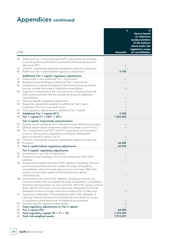# Appendices continued

| R'000                            |                                                                                                                                                                                                                                                                                                                                                                                                                                                                                                             | a<br><b>Amounts</b>    | b<br><b>Source based</b><br>on reference<br>numbers/letters<br>of the balance<br>sheet under the<br>regulatory scope<br>of consolidation |
|----------------------------------|-------------------------------------------------------------------------------------------------------------------------------------------------------------------------------------------------------------------------------------------------------------------------------------------------------------------------------------------------------------------------------------------------------------------------------------------------------------------------------------------------------------|------------------------|------------------------------------------------------------------------------------------------------------------------------------------|
| 34                               | Additional Tier 1 instruments (and CET1 instruments not included<br>in row 5) issued by subsidiaries and held by third parties (amount                                                                                                                                                                                                                                                                                                                                                                      |                        |                                                                                                                                          |
| 35<br>36                         | allowed in AT1)<br>Of which: instruments issued by subsidiaries subject to phase-out                                                                                                                                                                                                                                                                                                                                                                                                                        | 4750                   |                                                                                                                                          |
|                                  | Additional Tier 1 capital before regulatory adjustments                                                                                                                                                                                                                                                                                                                                                                                                                                                     |                        |                                                                                                                                          |
| 37<br>38<br>39<br>40             | Additional Tier 1 capital: regulatory adjustments<br>Investments in own additional Tier 1 instruments<br>Reciprocal cross-holdings in additional Tier 1 instruments<br>Investments in capital of banking, financial and insurance entities<br>that are outside the scope of regulatory consolidation<br>Significant investments in the common stock of banking, financial                                                                                                                                   |                        |                                                                                                                                          |
|                                  | and insurance entities that are outside the scope of regulatory<br>consolidation                                                                                                                                                                                                                                                                                                                                                                                                                            |                        |                                                                                                                                          |
| 41<br>42                         | National specific regulatory adjustments<br>Regulatory adjustments applied to additional Tier 1 due to<br>insufficient Tier 2 to cover deductions                                                                                                                                                                                                                                                                                                                                                           |                        |                                                                                                                                          |
| 43<br>44<br>45                   | Total regulatory adjustments to additional Tier 1 capital<br>Additional Tier 1 capital (AT1)<br>Tier 1 capital $(T1 = CET1 + AT1)$                                                                                                                                                                                                                                                                                                                                                                          | 4750<br>1 353 802      |                                                                                                                                          |
| 46<br>47<br>48<br>49<br>50<br>51 | Tier 2 capital: instruments and provisions<br>Directly issued qualifying Tier 2 instruments plus related stock surplus<br>Directly issued capital instruments subject to phase-out from Tier 2<br>Tier 2 instruments (and CET1 and AT1 instruments not included in<br>rows 5 or 34) issued by subsidiaries and held by third parties<br>(amount allowed in group Tier 2)<br>Of which: instruments issued by subsidiaries subject to phase-out<br>Provisions<br>Tier 2 capital before regulatory adjustments | 64 590<br>64 590       |                                                                                                                                          |
| 52                               | Tier 2 capital: regulatory adjustments<br>Investments in own Tier 2 instruments<br>53 Reciprocal cross-holdings in Tier 2 instruments and other TLAC                                                                                                                                                                                                                                                                                                                                                        |                        |                                                                                                                                          |
| 54                               | liabilities<br>Investments in capital and other TLAC liabilities of banking, financial<br>and insurance entities that are outside the scope of regulatory<br>consolidation, where the bank does not own more than 10% of the<br>issued common share capital of the entity (amount above                                                                                                                                                                                                                     |                        |                                                                                                                                          |
|                                  | 10% threshold)<br>54a Investments in the other TLAC liabilities of banking, financial and<br>insurance entities that are outside the scope of regulatory consolidation<br>and where the bank does not own more than 10% of the issued common<br>share capital of the entity: amount previously designated for the 5%                                                                                                                                                                                        |                        |                                                                                                                                          |
| 55                               | threshold but that no longer meets the conditions (for G-SIBs only)<br>Significant investments in the capital and other TLAC liabilities of<br>banking, financial and insurance entities that are outside the scope                                                                                                                                                                                                                                                                                         |                        |                                                                                                                                          |
| 56                               | of regulatory consolidation (net of eligible short positions)<br>National specific regulatory adjustments                                                                                                                                                                                                                                                                                                                                                                                                   |                        |                                                                                                                                          |
| 57                               | Total regulatory adjustments to Tier 2 capital                                                                                                                                                                                                                                                                                                                                                                                                                                                              |                        |                                                                                                                                          |
| 58                               | Tier 2 capital (T2)                                                                                                                                                                                                                                                                                                                                                                                                                                                                                         | 64 590                 |                                                                                                                                          |
| 59<br>60                         | Total regulatory capital ( $TC = T1 + T2$ )<br>Total risk-weighted assets                                                                                                                                                                                                                                                                                                                                                                                                                                   | 1 418 392<br>7 913 691 |                                                                                                                                          |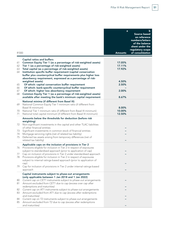| R'000                                        |                                                                                                                                                                                                                                                                                                                                                                                                                                                                                                                                                                                                                                                                                                                                           | a<br><b>Amounts</b>                                            | b.<br><b>Source based</b><br>on reference<br>numbers/letters<br>of the balance<br>sheet under the<br>regulatory scope<br>of consolidation |
|----------------------------------------------|-------------------------------------------------------------------------------------------------------------------------------------------------------------------------------------------------------------------------------------------------------------------------------------------------------------------------------------------------------------------------------------------------------------------------------------------------------------------------------------------------------------------------------------------------------------------------------------------------------------------------------------------------------------------------------------------------------------------------------------------|----------------------------------------------------------------|-------------------------------------------------------------------------------------------------------------------------------------------|
| 61<br>62<br>63<br>64<br>65<br>66<br>67<br>68 | Capital ratios and buffers<br>Common Equity Tier 1 (as a percentage of risk-weighted assets)<br>Tier 1 (as a percentage of risk-weighted assets)<br>Total capital (as a percentage of risk-weighted assets)<br>Institution specific buffer requirement (capital conservation<br>buffer plus countercyclical buffer requirements plus higher loss<br>absorbency requirement, expressed as a percentage of risk-<br>weighted assets)<br>Of which: capital conservation buffer requirement<br>Of which: bank-specific countercyclical buffer requirement<br>Of which: higher loss absorbency requirement<br>Common Equity Tier 1 (as a percentage of risk-weighted assets)<br>available after meeting the bank's minimum capital requirement | 17.05%<br>17.11%<br>17.92%<br>4.50%<br>2.50%<br>2.00%<br>8.67% |                                                                                                                                           |
| 69<br>70<br>71                               | National minima (if different from Basel III)<br>National Common Equity Tier 1 minimum ratio (if different from<br>Basel III minimum)<br>National Tier 1 minimum ratio (if different from Basel III minimum)<br>National total capital minimum (if different from Basel III minimum)                                                                                                                                                                                                                                                                                                                                                                                                                                                      | 8.00%<br>10.00%<br>12.50%                                      |                                                                                                                                           |
| 72<br>73<br>74<br>75                         | Amounts below the thresholds for deduction (before risk<br>weighting)<br>Non-significant investments in the capital and other TLAC liabilities<br>of other financial entities<br>Significant investments in common stock of financial entities<br>Mortgage servicing rights (net of related tax liability)<br>Deferred tax assets arising from temporary differences (net of<br>related tax liability)                                                                                                                                                                                                                                                                                                                                    |                                                                |                                                                                                                                           |
| 76<br>77<br>78<br>79                         | Applicable caps on the inclusion of provisions in Tier 2<br>Provisions eligible for inclusion in Tier 2 in respect of exposures<br>subject to standardised approach (prior to application of cap)<br>Cap on inclusion of provisions in Tier 2 under standardised approach<br>Provisions eligible for inclusion in Tier 2 in respect of exposures<br>subject to internal ratings-based approach (prior to application of<br>cap)<br>Cap for inclusion of provisions in Tier 2 under internal ratings-based<br>approach                                                                                                                                                                                                                     |                                                                |                                                                                                                                           |
| 80<br>81<br>82<br>83                         | Capital instruments subject to phase-out arrangements<br>(only applicable between 1 Jan 2018 and 1 Jan 2022)<br>Current cap on CET1 instruments subject to phase-out arrangements<br>Amount excluded from CET1 due to cap (excess over cap after<br>redemptions and maturities)<br>Current cap on AT1 instruments subject to phase-out arrangements<br>Amount excluded from AT1 due to cap (excess after redemptions<br>and maturities)                                                                                                                                                                                                                                                                                                   |                                                                |                                                                                                                                           |
| 84<br>85                                     | Current cap on T2 instruments subject to phase-out arrangements<br>Amount excluded from T2 due to cap (excess after redemptions<br>and maturities)                                                                                                                                                                                                                                                                                                                                                                                                                                                                                                                                                                                        |                                                                |                                                                                                                                           |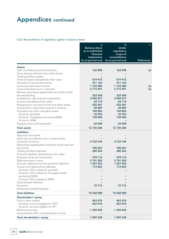# Appendices continued

### CC2: Reconciliation of regulatory capital to balance sheet

|                                                                                      | a<br><b>Balance sheet</b><br>as in published<br>financial<br>statements<br>As at period-end | $\mathbf b$<br>Under<br>regulatory<br>scope of<br>consolidation<br>As at period-end | $\mathbf{C}$<br>Reference |
|--------------------------------------------------------------------------------------|---------------------------------------------------------------------------------------------|-------------------------------------------------------------------------------------|---------------------------|
| <b>Assets</b>                                                                        |                                                                                             |                                                                                     |                           |
| Cash and balances at central banks                                                   | 162 098                                                                                     | 162 098                                                                             | (a)                       |
| Items during collection from other banks                                             |                                                                                             |                                                                                     |                           |
| Trading portfolio assets                                                             |                                                                                             |                                                                                     |                           |
| Financial assets designated at fair value                                            | 519 972                                                                                     | 519 972                                                                             |                           |
| Derivative financial instruments                                                     | 371 165                                                                                     | 371 165                                                                             |                           |
| Loans and advances to banks                                                          | 1 123 480                                                                                   | 1 123 480                                                                           | (a)                       |
| Loans and advances to customers                                                      | 6715951                                                                                     | 6715951                                                                             | (a)                       |
| Reverse repurchase agreements and other similar                                      |                                                                                             |                                                                                     |                           |
| secured lending                                                                      | 332 268                                                                                     | 332 268                                                                             |                           |
| Available for sale financial investments                                             | 2 085 077                                                                                   | 2 085 077                                                                           |                           |
| Current and deferred tax assets                                                      | 64 179                                                                                      | 64 179                                                                              |                           |
| Prepayments, accrued income and other assets                                         | 535 041<br>20 089                                                                           | 535 041<br>20 089                                                                   |                           |
| Investments in associates and joint ventures<br>Goodwill and other intangible assets | 160 856                                                                                     | 160 856                                                                             |                           |
| Of which: goodwill                                                                   | 32 252                                                                                      | 32 252                                                                              |                           |
| Of which: intangibles (excluding MSRs)                                               | 128 604                                                                                     | 128 604                                                                             |                           |
| Of which: MSRs                                                                       |                                                                                             |                                                                                     |                           |
| Property, plant and equipment                                                        | 65 068                                                                                      | 65 068                                                                              |                           |
| <b>Total assets</b>                                                                  | 12 155 244                                                                                  | 12 155 244                                                                          |                           |
| Liabilities                                                                          |                                                                                             |                                                                                     |                           |
| Deposits from banks                                                                  |                                                                                             |                                                                                     |                           |
| Items during collection due to other banks                                           |                                                                                             |                                                                                     |                           |
| Customer accounts                                                                    | 4 732 764                                                                                   | 4732764                                                                             |                           |
| Repurchase agreements and other similar secured                                      |                                                                                             |                                                                                     |                           |
| borrowing                                                                            | 700 067                                                                                     | 700 067                                                                             |                           |
| Trading portfolio liabilities                                                        | 280 243                                                                                     | 280 243                                                                             |                           |
| Financial liabilities designated at fair value<br>Derivative financial instruments   | 378 714                                                                                     | 378 714                                                                             |                           |
| Debt securities in issue                                                             | 2 741 583                                                                                   | 2 741 583                                                                           |                           |
| Accruals, deferred income and other liabilities                                      | 1 527 032                                                                                   | 1 527 032                                                                           |                           |
| Current and deferred tax liabilities                                                 | 115 863                                                                                     | 115 863                                                                             |                           |
| Of which: DTLs related to goodwill                                                   |                                                                                             |                                                                                     |                           |
| Of which: DTLs related to intangible assets                                          |                                                                                             |                                                                                     |                           |
| (excluding MSRs)                                                                     |                                                                                             |                                                                                     |                           |
| Of which: DTLs related to MSRs                                                       |                                                                                             |                                                                                     |                           |
| Subordinated liabilities                                                             |                                                                                             |                                                                                     |                           |
| Provisions                                                                           | 72714                                                                                       | 72714                                                                               |                           |
| Retirement benefit liabilities                                                       |                                                                                             |                                                                                     |                           |
| <b>Total liabilities</b>                                                             | 10 548 980                                                                                  | 10 548 980                                                                          |                           |
| Shareholders' equity                                                                 |                                                                                             |                                                                                     |                           |
| Paid-in share capital                                                                | 463 476                                                                                     | 463 476                                                                             |                           |
| Of which: amount eligible for CET1                                                   | 463 476                                                                                     | 463 476                                                                             |                           |
| Of which: amount eligible for AT1                                                    |                                                                                             |                                                                                     |                           |
| Retained earnings                                                                    | 1 435 844                                                                                   | 1 435 844                                                                           |                           |
| Accumulated other comprehensive income                                               |                                                                                             |                                                                                     |                           |
| Total shareholders' equity                                                           | 1899320                                                                                     | 1899320                                                                             |                           |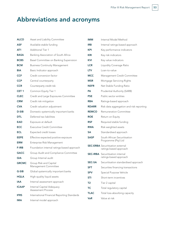# Abbreviations and acronyms

| <b>ALCO</b>  | Asset and Liability Committee                   |
|--------------|-------------------------------------------------|
| ASF          | Available stable funding                        |
| AT1          | Additional Tier 1                               |
| BASA         | Banking Association of South Africa             |
| <b>BCBS</b>  | Basel Committee on Banking Supervision          |
| <b>BCM</b>   | <b>Business Continuity Management</b>           |
| <b>BIA</b>   | Basic Indicator approach                        |
| <b>CCF</b>   | Credit conversion factor                        |
| <b>CCP</b>   | Central counterparty                            |
| <b>CCR</b>   | Counterparty credit risk                        |
| CET 1        | Common Equity Tier 1                            |
| <b>CLEC</b>  | Credit and Large Exposures Committee            |
| <b>CRM</b>   | Credit risk mitigation                          |
| <b>CVA</b>   | Credit valuation adjustment                     |
| D-SIB        | Domestic systemically important banks           |
| DTL          | Deferred tax liabilities                        |
| <b>EAD</b>   | Exposure at default                             |
| <b>ECC</b>   | <b>Executive Credit Committee</b>               |
| ECL.         | Expected credit losses                          |
| EEPE         | Effective expected positive exposure            |
| ERM          | Enterprise Risk Management                      |
| <b>F-IRB</b> | Foundation internal ratings-based approach      |
| <b>GACC</b>  | Group Audit and Compliance Committee            |
| GIA          | Group Internal audit                            |
| <b>GRCMC</b> | Group Risk and Capital<br>Management Committee  |
| G-SIB        | Global systemically important banks             |
| HQLA         | High-quality liquid assets                      |
| IAA          | Internal assessment approach                    |
| <b>ICAAP</b> | Internal Capital Adequacy<br>Assessment Process |
| <b>IFRS</b>  | International Financial Reporting Standards     |
| IMA          | Internal model approach                         |

| IMM           | Internal Model Method                                             |
|---------------|-------------------------------------------------------------------|
| <b>IRB</b>    | Internal ratings-based approach                                   |
| KPI           | Key performance indicators                                        |
| KRI           | Key risk indicators                                               |
| KVI           | Key value indicators                                              |
| <b>LCR</b>    | Liquidity Coverage Ratio                                          |
| LTV           | Loan-to-value                                                     |
| MCC           | Management Credit Committee                                       |
| <b>MSR</b>    | Mortgage Servicing Rights                                         |
| <b>NSFR</b>   | Net Stable Funding Ratio                                          |
| PА            | Prudential Authority (SARB)                                       |
| <b>PSE</b>    | Public sector entities                                            |
| <b>RBA</b>    | Ratings-based approach                                            |
| <b>RDARR</b>  | Risk data aggregation and risk reporting                          |
| <b>REMCO</b>  | <b>Remuneration Committee</b>                                     |
| <b>ROE</b>    | Return on Equity                                                  |
| <b>RSF</b>    | Required stable funding                                           |
| <b>RWA</b>    | Risk weighted assets                                              |
| <b>SA</b>     | Standardised approach                                             |
| SASP          | South African Securitisation<br>Programme (Pty) Ltd               |
|               | <b>SEC-ERBA</b> Securitisation external<br>ratings-based approach |
|               | <b>SEC-IRBA</b> Securitisation internal<br>ratings-based approach |
| <b>SEC-SA</b> | Securitisation standardised approach                              |
| SFT           | Securities financing transactions                                 |
| <b>SPV</b>    | Special Purpose Vehicle                                           |
| <b>STI</b>    | Short-term incentives                                             |
| T2            | Tier 2 capital                                                    |
| тс            | Total regulatory capital                                          |
| <b>TLAC</b>   | Total loss-absorbing capacity                                     |
| VaR           | Value at risk                                                     |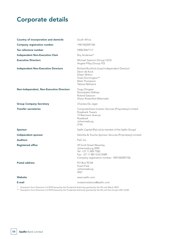# Corporate details

| Country of incorporation and domicile      | South Africa                                                                                                                                      |  |
|--------------------------------------------|---------------------------------------------------------------------------------------------------------------------------------------------------|--|
| Company registration number                | 1987/002097/06                                                                                                                                    |  |
| Tax reference number                       | 9300/204/71/7                                                                                                                                     |  |
| <b>Independent Non-Executive Chair</b>     | Roy Andersen*                                                                                                                                     |  |
| <b>Executive Directors</b>                 | Michael Sassoon (Group CEO)<br>Angela Pillay (Group FD)                                                                                           |  |
| <b>Independent Non-Executive Directors</b> | Richard Buchholz (Lead Independent Director)<br>Deon de Kock<br>Eileen Wilton<br>Grant Dunnington**<br>Mark Thompson<br>Tapiwa Njikizana          |  |
| Non-Independent, Non-Executive Directors   | Gugu Dingaan<br>Nontobeko Ndhlazi<br>Roland Sassoon<br>Shaun Rosenthal (Alternate)                                                                |  |
| <b>Group Company Secretary</b>             | Charissa De Jager                                                                                                                                 |  |
| <b>Transfer secretaries</b>                | Computershare Investor Services (Proprietary) Limited<br>Rosebank Towers<br>15 Biermann Avenue<br>Rosebank<br>Johannesburg<br>2196                |  |
| Sponsor                                    | Sasfin Capital (Pty) Ltd (a member of the Sasfin Group)                                                                                           |  |
| Independent sponsor                        | Deloitte & Touche Sponsor Services (Proprietary) Limited                                                                                          |  |
| <b>Auditors</b>                            | PwC Inc.                                                                                                                                          |  |
| <b>Registered office</b>                   | 29 Scott Street Waverley<br>Johannesburg 2090<br>Tel: +27 11 809 7500<br>Fax: +27 11 887 6167/2489<br>Company registration number: 1987/002097/06 |  |
| <b>Postal address</b>                      | PO Box 95104<br><b>Grant Park</b><br>Johannesburg<br>2051                                                                                         |  |
| Website                                    | www.sasfin.com                                                                                                                                    |  |
| E-mail                                     | investorrelations@sasfin.com                                                                                                                      |  |

*\* Exemption from Directive 4 of 2018 (issued by the Prudential Authority) granted by the PA until March 2023.*

*\*\* Exemption from Directive 4 of 2018 (issued by the Prudential Authority) granted by the PA until the Group's 2021 AGM.*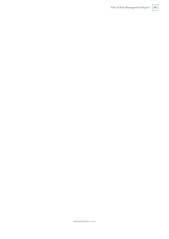Pillar III Risk Management Report | 55